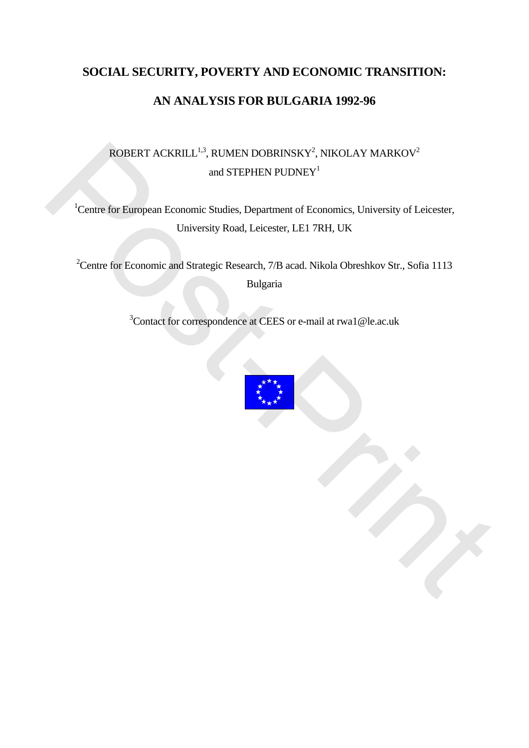# **SOCIAL SECURITY, POVERTY AND ECONOMIC TRANSITION: AN ANALYSIS FOR BULGARIA 1992-96**

## ROBERT ACKRILL<sup>1,3</sup>, RUMEN DOBRINSKY<sup>2</sup>, NIKOLAY MARKOV<sup>2</sup> and STEPHEN PUDNEY<sup>1</sup>

<sup>1</sup>Centre for European Economic Studies, Department of Economics, University of Leicester, University Road, Leicester, LE1 7RH, UK

<sup>2</sup> Centre for Economic and Strategic Research, 7/B acad. Nikola Obreshkov Str., Sofia 1113 Bulgaria ROBERT ACKRILL<sup>13</sup>, RUMEN DOBRINSKY<sup>2</sup>, NIKOLAY MARKOV<sup>2</sup><br>and STEPHEN PUDNEY<sup>1</sup><br>'Centre for European Economic Studies, Department of Economics. University of Leicester,<br>University Road, Leicester, LEI 7RH, UK<br><sup>2</sup>Centre fo

<sup>3</sup>Contact for correspondence at CEES or e-mail at rwa1@le.ac.uk

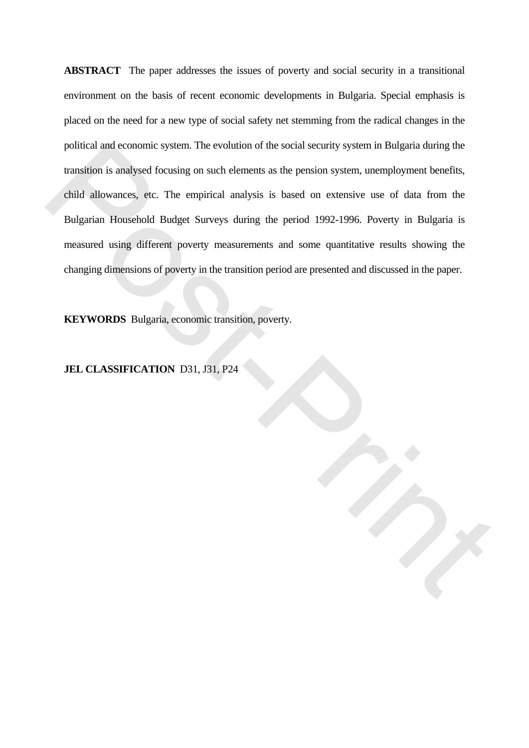**ABSTRACT** The paper addresses the issues of poverty and social security in a transitional environment on the basis of recent economic developments in Bulgaria. Special emphasis is placed on the need for a new type of social safety net stemming from the radical changes in the political and economic system. The evolution of the social security system in Bulgaria during the transition is analysed focusing on such elements as the pension system, unemployment benefits, child allowances, etc. The empirical analysis is based on extensive use of data from the Bulgarian Household Budget Surveys during the period 1992-1996. Poverty in Bulgaria is measured using different poverty measurements and some quantitative results showing the changing dimensions of poverty in the transition period are presented and discussed in the paper. political and economic system. The evolution of the social security system in Bulgaria during the<br>transition is analysed focusing on such elements as the pension system, unemployment benefits,<br>child allowances, etc. The em

**KEYWORDS** Bulgaria, economic transition, poverty.

#### **JEL CLASSIFICATION** D31, J31, P24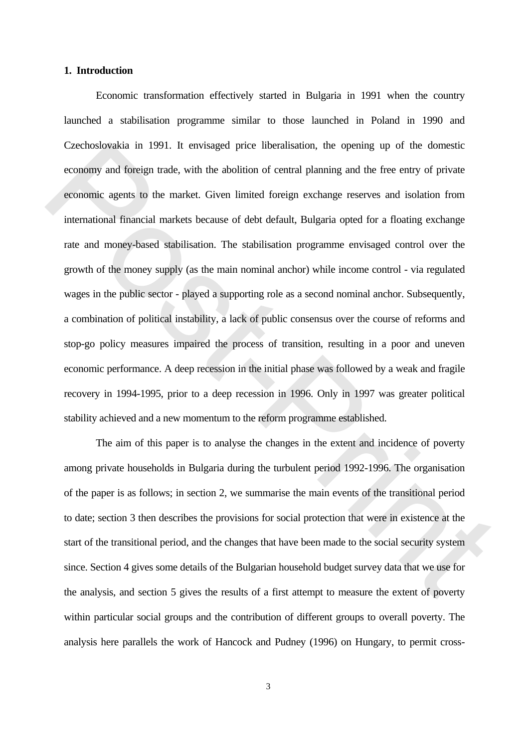#### **1. Introduction**

 Economic transformation effectively started in Bulgaria in 1991 when the country launched a stabilisation programme similar to those launched in Poland in 1990 and Czechoslovakia in 1991. It envisaged price liberalisation, the opening up of the domestic economy and foreign trade, with the abolition of central planning and the free entry of private economic agents to the market. Given limited foreign exchange reserves and isolation from international financial markets because of debt default, Bulgaria opted for a floating exchange rate and money-based stabilisation. The stabilisation programme envisaged control over the growth of the money supply (as the main nominal anchor) while income control - via regulated wages in the public sector - played a supporting role as a second nominal anchor. Subsequently, a combination of political instability, a lack of public consensus over the course of reforms and stop-go policy measures impaired the process of transition, resulting in a poor and uneven economic performance. A deep recession in the initial phase was followed by a weak and fragile recovery in 1994-1995, prior to a deep recession in 1996. Only in 1997 was greater political stability achieved and a new momentum to the reform programme established. Czechoslovakia in 1991. It envisiged price liberalisation, the opening up of the domestic<br>economy and foreign trade, with the abolition of central planning and the free entry of private<br>economic agents to the market. Give

 The aim of this paper is to analyse the changes in the extent and incidence of poverty among private households in Bulgaria during the turbulent period 1992-1996. The organisation of the paper is as follows; in section 2, we summarise the main events of the transitional period to date; section 3 then describes the provisions for social protection that were in existence at the start of the transitional period, and the changes that have been made to the social security system since. Section 4 gives some details of the Bulgarian household budget survey data that we use for the analysis, and section 5 gives the results of a first attempt to measure the extent of poverty within particular social groups and the contribution of different groups to overall poverty. The analysis here parallels the work of Hancock and Pudney (1996) on Hungary, to permit cross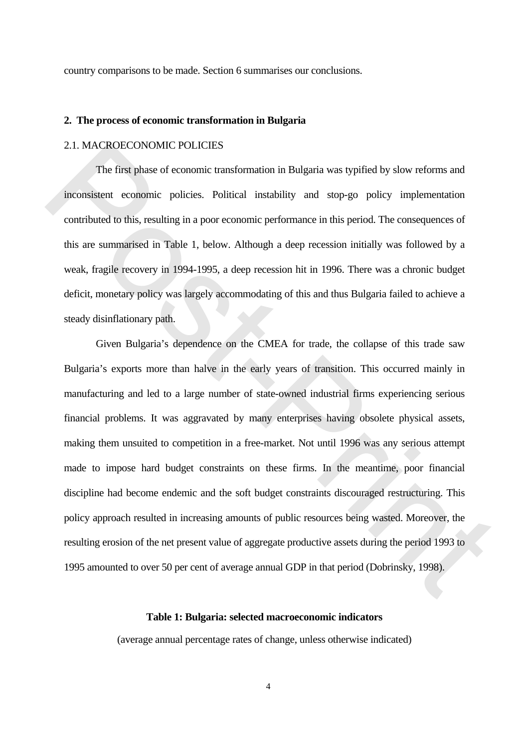country comparisons to be made. Section 6 summarises our conclusions.

#### **2. The process of economic transformation in Bulgaria**

#### 2.1. MACROECONOMIC POLICIES

 The first phase of economic transformation in Bulgaria was typified by slow reforms and inconsistent economic policies. Political instability and stop-go policy implementation contributed to this, resulting in a poor economic performance in this period. The consequences of this are summarised in Table 1, below. Although a deep recession initially was followed by a weak, fragile recovery in 1994-1995, a deep recession hit in 1996. There was a chronic budget deficit, monetary policy was largely accommodating of this and thus Bulgaria failed to achieve a steady disinflationary path.

 Given Bulgaria's dependence on the CMEA for trade, the collapse of this trade saw Bulgaria's exports more than halve in the early years of transition. This occurred mainly in manufacturing and led to a large number of state-owned industrial firms experiencing serious financial problems. It was aggravated by many enterprises having obsolete physical assets, making them unsuited to competition in a free-market. Not until 1996 was any serious attempt made to impose hard budget constraints on these firms. In the meantime, poor financial discipline had become endemic and the soft budget constraints discouraged restructuring. This policy approach resulted in increasing amounts of public resources being wasted. Moreover, the resulting erosion of the net present value of aggregate productive assets during the period 1993 to 1995 amounted to over 50 per cent of average annual GDP in that period (Dobrinsky, 1998). 2.1. MACROECONOMIC POLICIES<br>The first phase of economic transformation in Bulgaria was typified by slow reforms and<br>inconsistent economic policies. Political instability and stop-go policy implementation<br>contributed to thi

## **Table 1: Bulgaria: selected macroeconomic indicators**

(average annual percentage rates of change, unless otherwise indicated)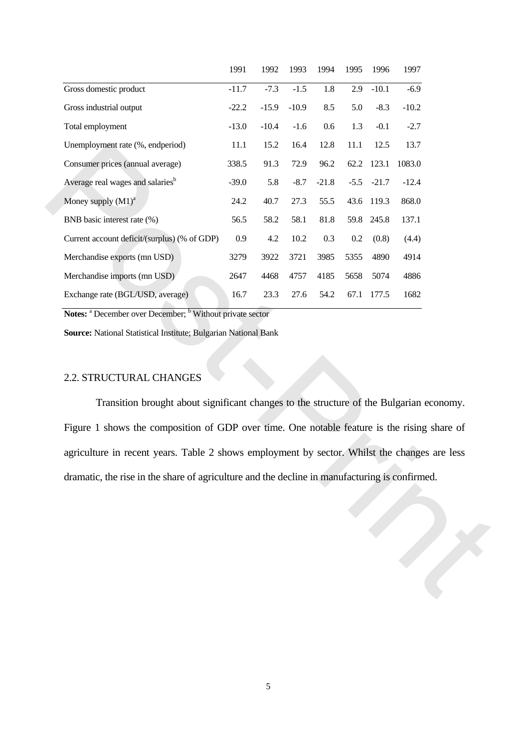|                                                                                                                                                                                                                                                                                              | 1991    | 1992    | 1993    | 1994    | 1995   | 1996       | 1997    |
|----------------------------------------------------------------------------------------------------------------------------------------------------------------------------------------------------------------------------------------------------------------------------------------------|---------|---------|---------|---------|--------|------------|---------|
| Gross domestic product                                                                                                                                                                                                                                                                       | $-11.7$ | $-7.3$  | $-1.5$  | 1.8     | 2.9    | $-10.1$    | $-6.9$  |
| Gross industrial output                                                                                                                                                                                                                                                                      | $-22.2$ | $-15.9$ | $-10.9$ | 8.5     | 5.0    | $-8.3$     | $-10.2$ |
| Total employment                                                                                                                                                                                                                                                                             | $-13.0$ | $-10.4$ | $-1.6$  | 0.6     | 1.3    | $-0.1$     | $-2.7$  |
| Unemployment rate (%, endperiod)                                                                                                                                                                                                                                                             | 11.1    | 15.2    | 16.4    | 12.8    | 11.1   | 12.5       | 13.7    |
| Consumer prices (annual average)                                                                                                                                                                                                                                                             | 338.5   | 91.3    | 72.9    | 96.2    |        | 62.2 123.1 | 1083.0  |
| Average real wages and salaries <sup>b</sup>                                                                                                                                                                                                                                                 | $-39.0$ | 5.8     | $-8.7$  | $-21.8$ | $-5.5$ | $-21.7$    | $-12.4$ |
| Money supply $(M1)^a$                                                                                                                                                                                                                                                                        | 24.2    | 40.7    | 27.3    | 55.5    |        | 43.6 119.3 | 868.0   |
| BNB basic interest rate (%)                                                                                                                                                                                                                                                                  | 56.5    | 58.2    | 58.1    | 81.8    |        | 59.8 245.8 | 137.1   |
| Current account deficit/(surplus) (% of GDP)                                                                                                                                                                                                                                                 | 0.9     | 4.2     | 10.2    | 0.3     | 0.2    | (0.8)      | (4.4)   |
| Merchandise exports (mn USD)                                                                                                                                                                                                                                                                 | 3279    | 3922    | 3721    | 3985    | 5355   | 4890       | 4914    |
| Merchandise imports (mn USD)                                                                                                                                                                                                                                                                 | 2647    | 4468    | 4757    | 4185    | 5658   | 5074       | 4886    |
| Exchange rate (BGL/USD, average)                                                                                                                                                                                                                                                             | 16.7    | 23.3    | 27.6    | 54.2    |        | 67.1 177.5 | 1682    |
| 2.2. STRUCTURAL CHANGES                                                                                                                                                                                                                                                                      |         |         |         |         |        |            |         |
| Transition brought about significant changes to the structure of the Bulgarian economy.                                                                                                                                                                                                      |         |         |         |         |        |            |         |
|                                                                                                                                                                                                                                                                                              |         |         |         |         |        |            |         |
|                                                                                                                                                                                                                                                                                              |         |         |         |         |        |            |         |
|                                                                                                                                                                                                                                                                                              |         |         |         |         |        |            |         |
| Figure 1 shows the composition of GDP over time. One notable feature is the rising share of<br>agriculture in recent years. Table 2 shows employment by sector. Whilst the changes are less<br>dramatic, the rise in the share of agriculture and the decline in manufacturing is confirmed. |         |         |         |         |        |            |         |
|                                                                                                                                                                                                                                                                                              |         |         |         |         |        |            |         |
|                                                                                                                                                                                                                                                                                              |         |         |         |         |        |            |         |
|                                                                                                                                                                                                                                                                                              |         |         |         |         |        |            |         |

## 2.2. STRUCTURAL CHANGES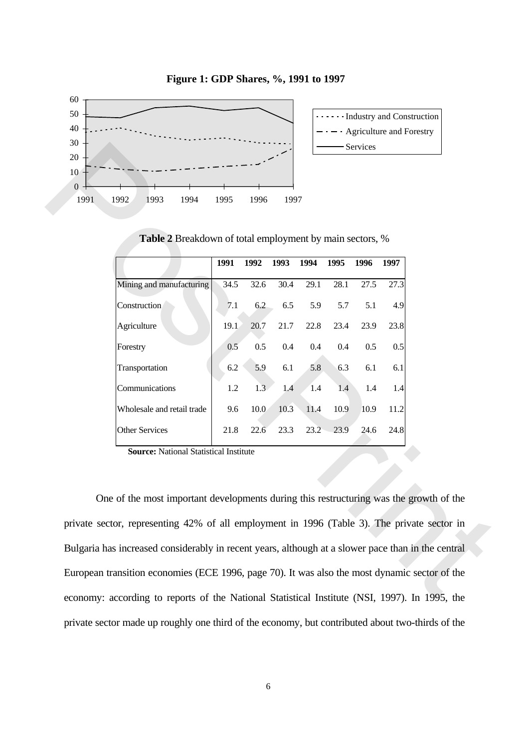

**Figure 1: GDP Shares, %, 1991 to 1997**

| Mining and manufacturing<br>34.5<br>32.6<br>30.4<br>29.1<br>28.1<br>27.5<br>27.3<br>Construction<br>5.9<br>7.1<br>6.2<br>6.5<br>5.7<br>5.1<br>4.9<br>Agriculture<br>19.1<br>21.7<br>22.8<br>23.9<br>23.8<br>20.7<br>23.4<br>0.5<br>Forestry<br>0.5<br>0.4<br>0.4<br>0.5<br>0.5<br>0.4<br>Transportation |                                               |
|---------------------------------------------------------------------------------------------------------------------------------------------------------------------------------------------------------------------------------------------------------------------------------------------------------|-----------------------------------------------|
|                                                                                                                                                                                                                                                                                                         |                                               |
|                                                                                                                                                                                                                                                                                                         |                                               |
|                                                                                                                                                                                                                                                                                                         |                                               |
|                                                                                                                                                                                                                                                                                                         |                                               |
|                                                                                                                                                                                                                                                                                                         | 5.9<br>6.1<br>6.2<br>5.8<br>6.3<br>6.1<br>6.1 |
| Communications<br>1.2<br>1.3<br>1.4<br>1.4<br>1.4<br>1.4<br>1.4                                                                                                                                                                                                                                         |                                               |
| Wholesale and retail trade<br>10.0<br>10.3<br>9.6<br>11.4<br>10.9<br>10.9<br>11.2                                                                                                                                                                                                                       |                                               |
| <b>Other Services</b><br>21.8<br>22.6<br>23.3<br>23.2<br>23.9<br>24.6<br>24.8                                                                                                                                                                                                                           |                                               |
| <b>Source: National Statistical Institute</b>                                                                                                                                                                                                                                                           |                                               |
|                                                                                                                                                                                                                                                                                                         |                                               |
|                                                                                                                                                                                                                                                                                                         |                                               |
|                                                                                                                                                                                                                                                                                                         |                                               |

**Table 2** Breakdown of total employment by main sectors, %

 One of the most important developments during this restructuring was the growth of the private sector, representing 42% of all employment in 1996 (Table 3). The private sector in Bulgaria has increased considerably in recent years, although at a slower pace than in the central European transition economies (ECE 1996, page 70). It was also the most dynamic sector of the economy: according to reports of the National Statistical Institute (NSI, 1997). In 1995, the private sector made up roughly one third of the economy, but contributed about two-thirds of the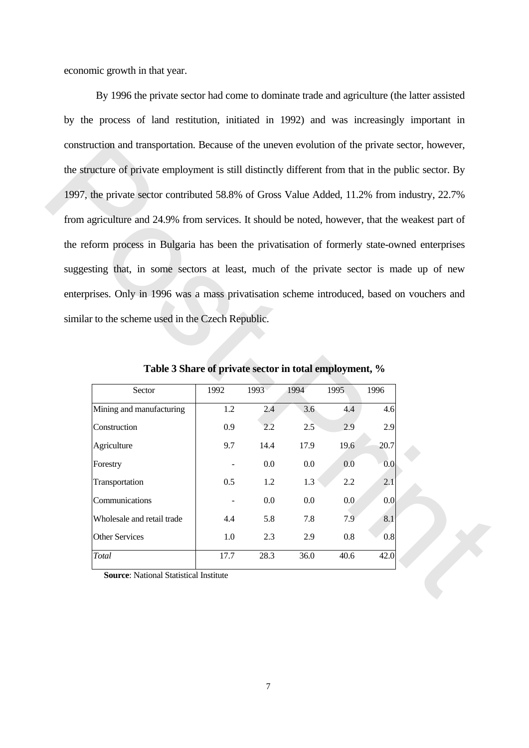economic growth in that year.

 By 1996 the private sector had come to dominate trade and agriculture (the latter assisted by the process of land restitution, initiated in 1992) and was increasingly important in construction and transportation. Because of the uneven evolution of the private sector, however, the structure of private employment is still distinctly different from that in the public sector. By 1997, the private sector contributed 58.8% of Gross Value Added, 11.2% from industry, 22.7% from agriculture and 24.9% from services. It should be noted, however, that the weakest part of the reform process in Bulgaria has been the privatisation of formerly state-owned enterprises suggesting that, in some sectors at least, much of the private sector is made up of new enterprises. Only in 1996 was a mass privatisation scheme introduced, based on vouchers and similar to the scheme used in the Czech Republic. construction and transportation. Because of the unevera evolution of the private sector, however,<br>the structure of private employment is still distinctly different from that in the public sector. By<br>1997, the private sect

| Sector                     | 1992 | 1993 | 1994 | 1995 | 1996 |
|----------------------------|------|------|------|------|------|
| Mining and manufacturing   | 1.2  | 2.4  | 3.6  | 4.4  | 4.6  |
| Construction               | 0.9  | 2.2  | 2.5  | 2.9  | 2.9  |
| Agriculture                | 9.7  | 14.4 | 17.9 | 19.6 | 20.7 |
| Forestry                   |      | 0.0  | 0.0  | 0.0  | 0.0  |
| Transportation             | 0.5  | 1.2  | 1.3  | 2.2  | 2.1  |
| Communications             |      | 0.0  | 0.0  | 0.0  | 0.0  |
| Wholesale and retail trade | 4.4  | 5.8  | 7.8  | 7.9  | 8.1  |
| <b>Other Services</b>      | 1.0  | 2.3  | 2.9  | 0.8  | 0.8  |
| Total                      | 17.7 | 28.3 | 36.0 | 40.6 | 42.0 |

**Table 3 Share of private sector in total employment, %** 

 **Source**: National Statistical Institute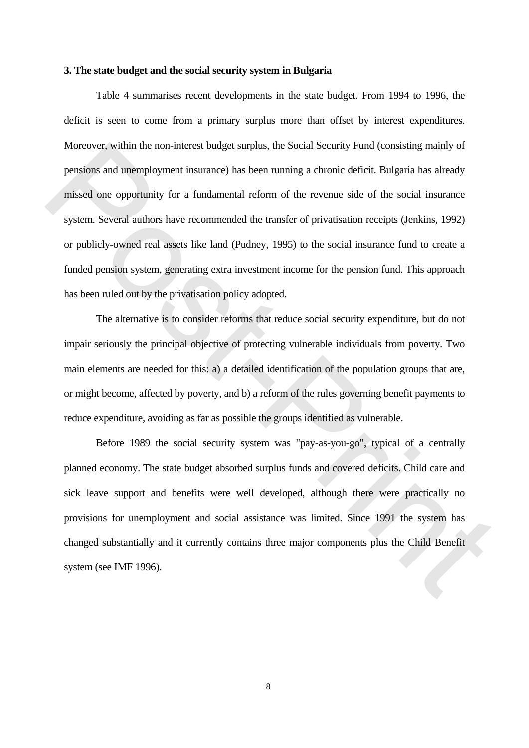#### **3. The state budget and the social security system in Bulgaria**

 Table 4 summarises recent developments in the state budget. From 1994 to 1996, the deficit is seen to come from a primary surplus more than offset by interest expenditures. Moreover, within the non-interest budget surplus, the Social Security Fund (consisting mainly of pensions and unemployment insurance) has been running a chronic deficit. Bulgaria has already missed one opportunity for a fundamental reform of the revenue side of the social insurance system. Several authors have recommended the transfer of privatisation receipts (Jenkins, 1992) or publicly-owned real assets like land (Pudney, 1995) to the social insurance fund to create a funded pension system, generating extra investment income for the pension fund. This approach has been ruled out by the privatisation policy adopted. Moreover, within the non-interest budget surplus, the Social Security Fund (consisting mainly of<br>pensions and unemployment insurance) has been rumning a chronic deficit. Bulgaria has already<br>missed one opportunity for a fu

 The alternative is to consider reforms that reduce social security expenditure, but do not impair seriously the principal objective of protecting vulnerable individuals from poverty. Two main elements are needed for this: a) a detailed identification of the population groups that are, or might become, affected by poverty, and b) a reform of the rules governing benefit payments to reduce expenditure, avoiding as far as possible the groups identified as vulnerable.

 Before 1989 the social security system was "pay-as-you-go", typical of a centrally planned economy. The state budget absorbed surplus funds and covered deficits. Child care and sick leave support and benefits were well developed, although there were practically no provisions for unemployment and social assistance was limited. Since 1991 the system has changed substantially and it currently contains three major components plus the Child Benefit system (see IMF 1996).

8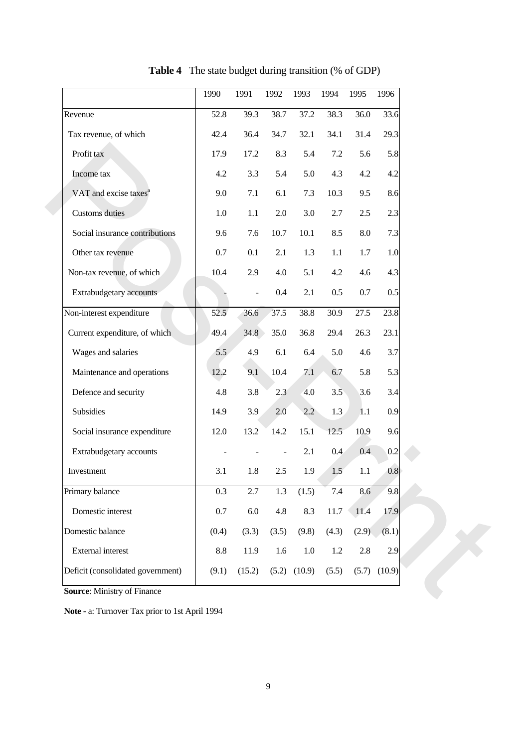|                                   | 1990       | 1991           | 1992    | 1993    | 1994    | 1995      | 1996    |
|-----------------------------------|------------|----------------|---------|---------|---------|-----------|---------|
| Revenue                           | 52.8       | 39.3           | 38.7    | 37.2    | 38.3    | 36.0      | 33.6    |
| Tax revenue, of which             | 42.4       | 36.4           | 34.7    | 32.1    | 34.1    | 31.4      | 29.3    |
| Profit tax                        | 17.9       | 17.2           | 8.3     | 5.4     | 7.2     | 5.6       | 5.8     |
| Income tax                        | 4.2        | 3.3            | 5.4     | 5.0     | 4.3     | 4.2       | 4.2     |
| VAT and excise taxes <sup>a</sup> | 9.0        | 7.1            | 6.1     | 7.3     | 10.3    | 9.5       | 8.6     |
| <b>Customs</b> duties             | 1.0        | $1.1\,$        | 2.0     | 3.0     | 2.7     | 2.5       | 2.3     |
| Social insurance contributions    | 9.6        | 7.6            | 10.7    | 10.1    | 8.5     | $\rm 8.0$ | 7.3     |
| Other tax revenue                 | 0.7        | 0.1            | 2.1     | 1.3     | $1.1\,$ | 1.7       | 1.0     |
| Non-tax revenue, of which         | 10.4       | 2.9            | 4.0     | 5.1     | 4.2     | 4.6       | 4.3     |
| Extrabudgetary accounts           |            | $\overline{a}$ | 0.4     | 2.1     | 0.5     | 0.7       | 0.5     |
| Non-interest expenditure          | 52.5       | 36.6           | 37.5    | 38.8    | 30.9    | 27.5      | 23.8    |
| Current expenditure, of which     | 49.4       | 34.8           | 35.0    | 36.8    | 29.4    | 26.3      | 23.1    |
| Wages and salaries                | 5.5        | 4.9            | 6.1     | 6.4     | 5.0     | 4.6       | 3.7     |
| Maintenance and operations        | 12.2       | 9.1            | 10.4    | 7.1     | 6.7     | 5.8       | 5.3     |
| Defence and security              | 4.8        | 3.8            | 2.3     | 4.0     | 3.5     | 3.6       | 3.4     |
| Subsidies                         | 14.9       | 3.9            | 2.0     | $2.2\,$ | 1.3     | 1.1       | 0.9     |
| Social insurance expenditure      | 12.0       | 13.2           | 14.2    | 15.1    | 12.5    | 10.9      | 9.6     |
| Extrabudgetary accounts           |            |                |         | 2.1     | 0.4     | 0.4       | $0.2\,$ |
| Investment                        | 3.1        | 1.8            | 2.5     | 1.9     | 1.5     | $1.1\,$   | 0.8     |
| Primary balance                   | 0.3        | 2.7            | 1.3     | (1.5)   | $7.4\,$ | 8.6       | 9.8     |
| Domestic interest                 | $0.7\,$    | $6.0\,$        | $4.8\,$ | 8.3     | 11.7    | 11.4      | 17.9    |
| Domestic balance                  | (0.4)      | (3.3)          | (3.5)   | (9.8)   | (4.3)   | (2.9)     | (8.1)   |
| External interest                 | $\ \, 8.8$ | 11.9           | $1.6\,$ | $1.0\,$ | 1.2     | $2.8\,$   | 2.9     |
| Deficit (consolidated government) | (9.1)      | (15.2)         | (5.2)   | (10.9)  | (5.5)   | (5.7)     | (10.9)  |
|                                   |            |                |         |         |         |           |         |

**Table 4** The state budget during transition (% of GDP)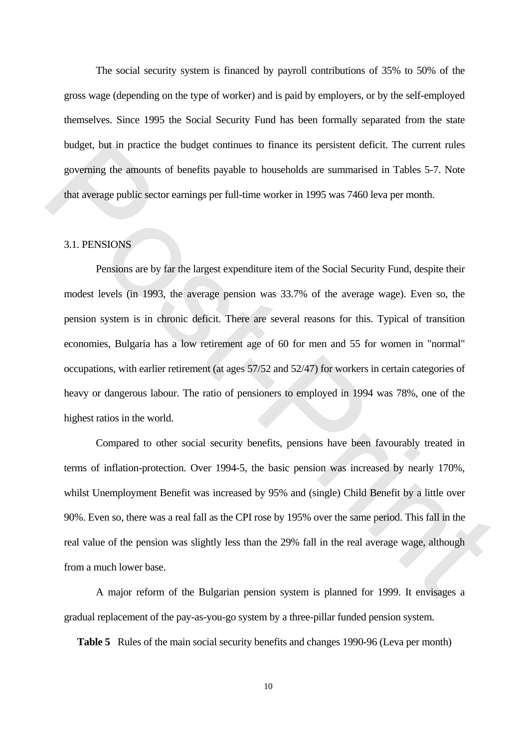The social security system is financed by payroll contributions of 35% to 50% of the gross wage (depending on the type of worker) and is paid by employers, or by the self-employed themselves. Since 1995 the Social Security Fund has been formally separated from the state budget, but in practice the budget continues to finance its persistent deficit. The current rules governing the amounts of benefits payable to households are summarised in Tables 5-7. Note that average public sector earnings per full-time worker in 1995 was 7460 leva per month.

## 3.1. PENSIONS

 Pensions are by far the largest expenditure item of the Social Security Fund, despite their modest levels (in 1993, the average pension was 33.7% of the average wage). Even so, the pension system is in chronic deficit. There are several reasons for this. Typical of transition economies, Bulgaria has a low retirement age of 60 for men and 55 for women in "normal" occupations, with earlier retirement (at ages 57/52 and 52/47) for workers in certain categories of heavy or dangerous labour. The ratio of pensioners to employed in 1994 was 78%, one of the highest ratios in the world. budget, but in practice the budget continues to finance its persistent deficit. The current rules<br>governing the amounts of benefits payable to buoxeholds are summarised in Tables 5-7. Note<br>that average public sector earnin

 Compared to other social security benefits, pensions have been favourably treated in terms of inflation-protection. Over 1994-5, the basic pension was increased by nearly 170%, whilst Unemployment Benefit was increased by 95% and (single) Child Benefit by a little over 90%. Even so, there was a real fall as the CPI rose by 195% over the same period. This fall in the real value of the pension was slightly less than the 29% fall in the real average wage, although from a much lower base.

 A major reform of the Bulgarian pension system is planned for 1999. It envisages a gradual replacement of the pay-as-you-go system by a three-pillar funded pension system.

**Table 5** Rules of the main social security benefits and changes 1990-96 (Leva per month)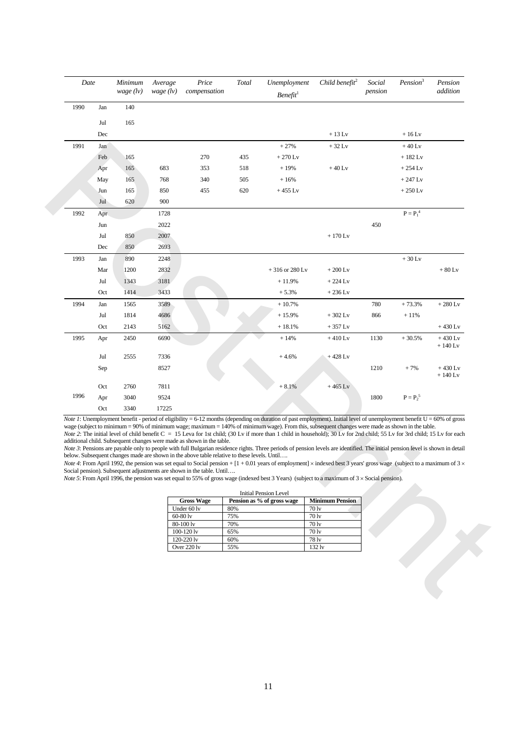| 1990<br>Jan<br>165<br>Jul<br>Dec<br>1991<br>Jan<br>Feb<br>165<br>165<br>Apr<br>165<br>May<br>165<br>Jun<br>Jul<br>620<br>1992<br>Apr<br>Jun<br>Jul<br>850<br>Dec<br>850<br>1993<br>890<br>Jan<br>1200<br>Mar<br>Jul<br>1343<br>Oct<br>1414<br>1994<br>Jan<br>1565<br>1814<br>Jul<br>2143<br>Oct<br>1995<br>2450<br>Apr<br>2555<br>Jul<br>Sep<br>Oct<br>2760<br>1996<br>3040<br>Apr<br>Oct<br><i>Note 1</i> : Unemployment benefit - period of eligibility = 6-12 months (depending on duration of past employment). Initial level of unemployment benefit $U = 60\%$ of gross<br>wage (subject to minimum = 90% of minimum wage; maximum = 140% of minimum wage). From this, subsequent changes were made as shown in the table.<br>Note 2: The initial level of child benefit $C = 15$ Leva for 1st child; (30 Lv if more than 1 child in household); 30 Lv for 2nd child; 55 Lv for 3rd child; 15 Lv for each<br>additional child. Subsequent changes were made as shown in the table.<br>Note 3: Pensions are payable only to people with full Bulgarian residence rights. Three periods of pension levels are identified. The initial pension level is shown in detail<br>below. Subsequent changes made are shown in the above table relative to these levels. Until<br><i>Note 4</i> : From April 1992, the pension was set equal to Social pension + $[1 + 0.01]$ years of employment   × indexed best 3 years' gross wage (subject to a maximum of 3 ×<br>Social pension). Subsequent adjustments are shown in the table. Until<br><i>Note</i> 5: From April 1996, the pension was set equal to 55% of gross wage (indexed best 3 Years) (subject to a maximum of $3 \times$ Social pension). |               | wage $(lv)$<br>compensation |            | Benefit <sup>1</sup>                                       |                        | pension |                             | addition               |
|-------------------------------------------------------------------------------------------------------------------------------------------------------------------------------------------------------------------------------------------------------------------------------------------------------------------------------------------------------------------------------------------------------------------------------------------------------------------------------------------------------------------------------------------------------------------------------------------------------------------------------------------------------------------------------------------------------------------------------------------------------------------------------------------------------------------------------------------------------------------------------------------------------------------------------------------------------------------------------------------------------------------------------------------------------------------------------------------------------------------------------------------------------------------------------------------------------------------------------------------------------------------------------------------------------------------------------------------------------------------------------------------------------------------------------------------------------------------------------------------------------------------------------------------------------------------------------------------------------------------------------------------------------------------------------------------------------|---------------|-----------------------------|------------|------------------------------------------------------------|------------------------|---------|-----------------------------|------------------------|
|                                                                                                                                                                                                                                                                                                                                                                                                                                                                                                                                                                                                                                                                                                                                                                                                                                                                                                                                                                                                                                                                                                                                                                                                                                                                                                                                                                                                                                                                                                                                                                                                                                                                                                       | 140           |                             |            |                                                            |                        |         |                             |                        |
|                                                                                                                                                                                                                                                                                                                                                                                                                                                                                                                                                                                                                                                                                                                                                                                                                                                                                                                                                                                                                                                                                                                                                                                                                                                                                                                                                                                                                                                                                                                                                                                                                                                                                                       |               |                             |            |                                                            |                        |         |                             |                        |
|                                                                                                                                                                                                                                                                                                                                                                                                                                                                                                                                                                                                                                                                                                                                                                                                                                                                                                                                                                                                                                                                                                                                                                                                                                                                                                                                                                                                                                                                                                                                                                                                                                                                                                       |               |                             |            |                                                            | $+13$ Lv               |         | $+16$ Lv                    |                        |
|                                                                                                                                                                                                                                                                                                                                                                                                                                                                                                                                                                                                                                                                                                                                                                                                                                                                                                                                                                                                                                                                                                                                                                                                                                                                                                                                                                                                                                                                                                                                                                                                                                                                                                       |               |                             |            | $+27%$                                                     | $+32$ Lv               |         | $+40$ Lv                    |                        |
|                                                                                                                                                                                                                                                                                                                                                                                                                                                                                                                                                                                                                                                                                                                                                                                                                                                                                                                                                                                                                                                                                                                                                                                                                                                                                                                                                                                                                                                                                                                                                                                                                                                                                                       |               | 270                         | 435        | $+270$ Lv                                                  |                        |         | $+182$ Lv                   |                        |
|                                                                                                                                                                                                                                                                                                                                                                                                                                                                                                                                                                                                                                                                                                                                                                                                                                                                                                                                                                                                                                                                                                                                                                                                                                                                                                                                                                                                                                                                                                                                                                                                                                                                                                       | 683           | 353                         | 518        | $+19%$                                                     | $+40$ Lv               |         | $+254$ Lv                   |                        |
|                                                                                                                                                                                                                                                                                                                                                                                                                                                                                                                                                                                                                                                                                                                                                                                                                                                                                                                                                                                                                                                                                                                                                                                                                                                                                                                                                                                                                                                                                                                                                                                                                                                                                                       | 768           | 340                         | 505        | $+16%$                                                     |                        |         | $+247$ Lv                   |                        |
|                                                                                                                                                                                                                                                                                                                                                                                                                                                                                                                                                                                                                                                                                                                                                                                                                                                                                                                                                                                                                                                                                                                                                                                                                                                                                                                                                                                                                                                                                                                                                                                                                                                                                                       | 850           | 455                         | 620        | $+455$ Lv                                                  |                        |         | $+250$ Lv                   |                        |
|                                                                                                                                                                                                                                                                                                                                                                                                                                                                                                                                                                                                                                                                                                                                                                                                                                                                                                                                                                                                                                                                                                                                                                                                                                                                                                                                                                                                                                                                                                                                                                                                                                                                                                       | 900           |                             |            |                                                            |                        |         |                             |                        |
|                                                                                                                                                                                                                                                                                                                                                                                                                                                                                                                                                                                                                                                                                                                                                                                                                                                                                                                                                                                                                                                                                                                                                                                                                                                                                                                                                                                                                                                                                                                                                                                                                                                                                                       | 1728          |                             |            |                                                            |                        |         | $\mathbf{P}=\mathbf{P_1}^4$ |                        |
|                                                                                                                                                                                                                                                                                                                                                                                                                                                                                                                                                                                                                                                                                                                                                                                                                                                                                                                                                                                                                                                                                                                                                                                                                                                                                                                                                                                                                                                                                                                                                                                                                                                                                                       | 2022          |                             |            |                                                            |                        | 450     |                             |                        |
|                                                                                                                                                                                                                                                                                                                                                                                                                                                                                                                                                                                                                                                                                                                                                                                                                                                                                                                                                                                                                                                                                                                                                                                                                                                                                                                                                                                                                                                                                                                                                                                                                                                                                                       | 2007          |                             |            |                                                            | $+170$ Lv              |         |                             |                        |
|                                                                                                                                                                                                                                                                                                                                                                                                                                                                                                                                                                                                                                                                                                                                                                                                                                                                                                                                                                                                                                                                                                                                                                                                                                                                                                                                                                                                                                                                                                                                                                                                                                                                                                       | 2693          |                             |            |                                                            |                        |         |                             |                        |
|                                                                                                                                                                                                                                                                                                                                                                                                                                                                                                                                                                                                                                                                                                                                                                                                                                                                                                                                                                                                                                                                                                                                                                                                                                                                                                                                                                                                                                                                                                                                                                                                                                                                                                       | 2248          |                             |            |                                                            |                        |         | $+30$ Lv                    |                        |
|                                                                                                                                                                                                                                                                                                                                                                                                                                                                                                                                                                                                                                                                                                                                                                                                                                                                                                                                                                                                                                                                                                                                                                                                                                                                                                                                                                                                                                                                                                                                                                                                                                                                                                       | 2832          |                             |            | $+316$ or 280 Lv                                           | $+200$ Lv              |         |                             | $+80$ Lv               |
|                                                                                                                                                                                                                                                                                                                                                                                                                                                                                                                                                                                                                                                                                                                                                                                                                                                                                                                                                                                                                                                                                                                                                                                                                                                                                                                                                                                                                                                                                                                                                                                                                                                                                                       | 3181          |                             |            | $+11.9%$                                                   | $+224$ Lv              |         |                             |                        |
|                                                                                                                                                                                                                                                                                                                                                                                                                                                                                                                                                                                                                                                                                                                                                                                                                                                                                                                                                                                                                                                                                                                                                                                                                                                                                                                                                                                                                                                                                                                                                                                                                                                                                                       | 3433          |                             |            | $+5.3%$                                                    | $+236$ Lv              |         |                             |                        |
|                                                                                                                                                                                                                                                                                                                                                                                                                                                                                                                                                                                                                                                                                                                                                                                                                                                                                                                                                                                                                                                                                                                                                                                                                                                                                                                                                                                                                                                                                                                                                                                                                                                                                                       |               |                             |            | $+10.7%$                                                   |                        | 780     | $+73.3%$                    | $+280$ Lv              |
|                                                                                                                                                                                                                                                                                                                                                                                                                                                                                                                                                                                                                                                                                                                                                                                                                                                                                                                                                                                                                                                                                                                                                                                                                                                                                                                                                                                                                                                                                                                                                                                                                                                                                                       | 3589<br>4686  |                             |            | $+15.9%$                                                   | $+302$ Lv              | 866     | $+11%$                      |                        |
|                                                                                                                                                                                                                                                                                                                                                                                                                                                                                                                                                                                                                                                                                                                                                                                                                                                                                                                                                                                                                                                                                                                                                                                                                                                                                                                                                                                                                                                                                                                                                                                                                                                                                                       |               |                             |            |                                                            |                        |         |                             | $+430$ Lv              |
|                                                                                                                                                                                                                                                                                                                                                                                                                                                                                                                                                                                                                                                                                                                                                                                                                                                                                                                                                                                                                                                                                                                                                                                                                                                                                                                                                                                                                                                                                                                                                                                                                                                                                                       | 5162          |                             |            | $+18.1%$                                                   | $+357$ Lv              |         |                             |                        |
|                                                                                                                                                                                                                                                                                                                                                                                                                                                                                                                                                                                                                                                                                                                                                                                                                                                                                                                                                                                                                                                                                                                                                                                                                                                                                                                                                                                                                                                                                                                                                                                                                                                                                                       | 6690          |                             |            | $+14%$                                                     | $+410$ Lv              | 1130    | $+30.5%$                    | $+430$ Lv<br>$+140$ Lv |
|                                                                                                                                                                                                                                                                                                                                                                                                                                                                                                                                                                                                                                                                                                                                                                                                                                                                                                                                                                                                                                                                                                                                                                                                                                                                                                                                                                                                                                                                                                                                                                                                                                                                                                       | 7336          |                             |            | $+4.6%$                                                    | $+428$ Lv              |         |                             |                        |
|                                                                                                                                                                                                                                                                                                                                                                                                                                                                                                                                                                                                                                                                                                                                                                                                                                                                                                                                                                                                                                                                                                                                                                                                                                                                                                                                                                                                                                                                                                                                                                                                                                                                                                       | 8527          |                             |            |                                                            |                        | 1210    | $+7%$                       | $+430$ Lv<br>$+140$ Ly |
|                                                                                                                                                                                                                                                                                                                                                                                                                                                                                                                                                                                                                                                                                                                                                                                                                                                                                                                                                                                                                                                                                                                                                                                                                                                                                                                                                                                                                                                                                                                                                                                                                                                                                                       | 7811          |                             |            | $+8.1%$                                                    | $+465$ Lv              |         |                             |                        |
|                                                                                                                                                                                                                                                                                                                                                                                                                                                                                                                                                                                                                                                                                                                                                                                                                                                                                                                                                                                                                                                                                                                                                                                                                                                                                                                                                                                                                                                                                                                                                                                                                                                                                                       | 9524          |                             |            |                                                            |                        | 1800    | $P = P_2^5$                 |                        |
|                                                                                                                                                                                                                                                                                                                                                                                                                                                                                                                                                                                                                                                                                                                                                                                                                                                                                                                                                                                                                                                                                                                                                                                                                                                                                                                                                                                                                                                                                                                                                                                                                                                                                                       | 3340<br>17225 |                             |            |                                                            |                        |         |                             |                        |
|                                                                                                                                                                                                                                                                                                                                                                                                                                                                                                                                                                                                                                                                                                                                                                                                                                                                                                                                                                                                                                                                                                                                                                                                                                                                                                                                                                                                                                                                                                                                                                                                                                                                                                       |               |                             |            |                                                            |                        |         |                             |                        |
|                                                                                                                                                                                                                                                                                                                                                                                                                                                                                                                                                                                                                                                                                                                                                                                                                                                                                                                                                                                                                                                                                                                                                                                                                                                                                                                                                                                                                                                                                                                                                                                                                                                                                                       |               | <b>Gross Wage</b>           |            | <b>Initial Pension Level</b><br>Pension as % of gross wage | <b>Minimum Pension</b> |         |                             |                        |
|                                                                                                                                                                                                                                                                                                                                                                                                                                                                                                                                                                                                                                                                                                                                                                                                                                                                                                                                                                                                                                                                                                                                                                                                                                                                                                                                                                                                                                                                                                                                                                                                                                                                                                       |               | Under 60 lv                 | 80%        |                                                            | 70 lv                  |         |                             |                        |
|                                                                                                                                                                                                                                                                                                                                                                                                                                                                                                                                                                                                                                                                                                                                                                                                                                                                                                                                                                                                                                                                                                                                                                                                                                                                                                                                                                                                                                                                                                                                                                                                                                                                                                       |               | 60-80 lv                    | 75%        |                                                            | 70 lv                  |         |                             |                        |
|                                                                                                                                                                                                                                                                                                                                                                                                                                                                                                                                                                                                                                                                                                                                                                                                                                                                                                                                                                                                                                                                                                                                                                                                                                                                                                                                                                                                                                                                                                                                                                                                                                                                                                       |               | 80-100 lv<br>100-120 lv     | 70%<br>65% |                                                            | 70 lv<br>70 lv         |         |                             |                        |
|                                                                                                                                                                                                                                                                                                                                                                                                                                                                                                                                                                                                                                                                                                                                                                                                                                                                                                                                                                                                                                                                                                                                                                                                                                                                                                                                                                                                                                                                                                                                                                                                                                                                                                       |               | 120-220 lv                  | 60%        |                                                            | $78\,\mathrm{lv}$      |         |                             |                        |
|                                                                                                                                                                                                                                                                                                                                                                                                                                                                                                                                                                                                                                                                                                                                                                                                                                                                                                                                                                                                                                                                                                                                                                                                                                                                                                                                                                                                                                                                                                                                                                                                                                                                                                       |               | Over 220 lv                 | 55%        |                                                            | 132 lv                 |         |                             |                        |
|                                                                                                                                                                                                                                                                                                                                                                                                                                                                                                                                                                                                                                                                                                                                                                                                                                                                                                                                                                                                                                                                                                                                                                                                                                                                                                                                                                                                                                                                                                                                                                                                                                                                                                       |               |                             |            |                                                            |                        |         |                             |                        |
|                                                                                                                                                                                                                                                                                                                                                                                                                                                                                                                                                                                                                                                                                                                                                                                                                                                                                                                                                                                                                                                                                                                                                                                                                                                                                                                                                                                                                                                                                                                                                                                                                                                                                                       |               |                             |            |                                                            |                        |         |                             |                        |

|                   | <b>Initial Pension Level</b> |                        |
|-------------------|------------------------------|------------------------|
| <b>Gross Wage</b> | Pension as % of gross wage   | <b>Minimum Pension</b> |
| Under 60 lv       | 80%                          | $70 \text{lv}$         |
| $60-80$ ly        | 75%                          | 701v                   |
| 80-100 lv         | 70%                          | 701v                   |
| $100 - 120$ ly    | 65%                          | 701v                   |
| 120-220 lv        | 60%                          | 78 lv                  |
| Over 220 lv       | 55%                          | $132 \text{lv}$        |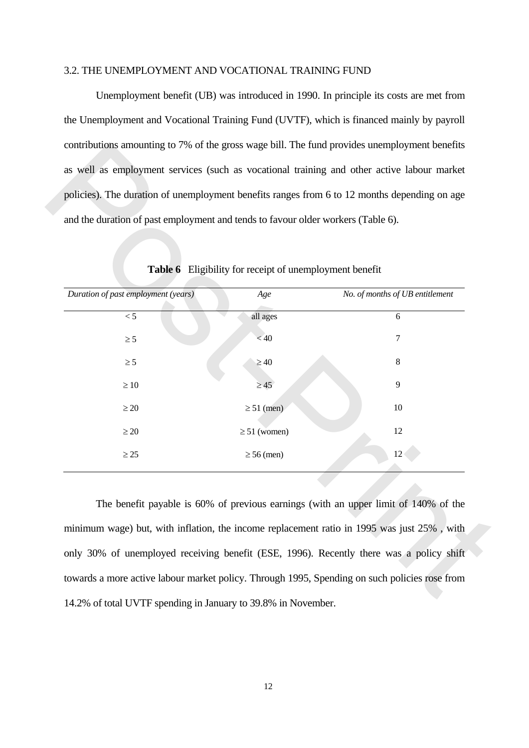#### 3.2. THE UNEMPLOYMENT AND VOCATIONAL TRAINING FUND

 Unemployment benefit (UB) was introduced in 1990. In principle its costs are met from the Unemployment and Vocational Training Fund (UVTF), which is financed mainly by payroll contributions amounting to 7% of the gross wage bill. The fund provides unemployment benefits as well as employment services (such as vocational training and other active labour market policies). The duration of unemployment benefits ranges from 6 to 12 months depending on age and the duration of past employment and tends to favour older workers (Table 6).

|                                     | Table 6 Eligibility for receipt of unemployment benefit |                                 |
|-------------------------------------|---------------------------------------------------------|---------------------------------|
| Duration of past employment (years) | Age                                                     | No. of months of UB entitlement |
| < 5                                 | all ages                                                | 6                               |
| $\geq$ 5                            | < 40                                                    | 7                               |
| $\geq 5$                            | $\geq 40$                                               | 8                               |
| $\geq 10$                           | $\geq$ 45                                               | 9                               |
| $\geq 20$                           | $\geq 51$ (men)                                         | $10\,$                          |
| $\geq 20$                           | $\geq 51$ (women)                                       | 12                              |
| $\geq 25$                           | $\geq 56$ (men)                                         | 12                              |
|                                     |                                                         |                                 |

 **Table 6** Eligibility for receipt of unemployment benefit

 The benefit payable is 60% of previous earnings (with an upper limit of 140% of the minimum wage) but, with inflation, the income replacement ratio in 1995 was just 25% , with only 30% of unemployed receiving benefit (ESE, 1996). Recently there was a policy shift towards a more active labour market policy. Through 1995, Spending on such policies rose from 14.2% of total UVTF spending in January to 39.8% in November.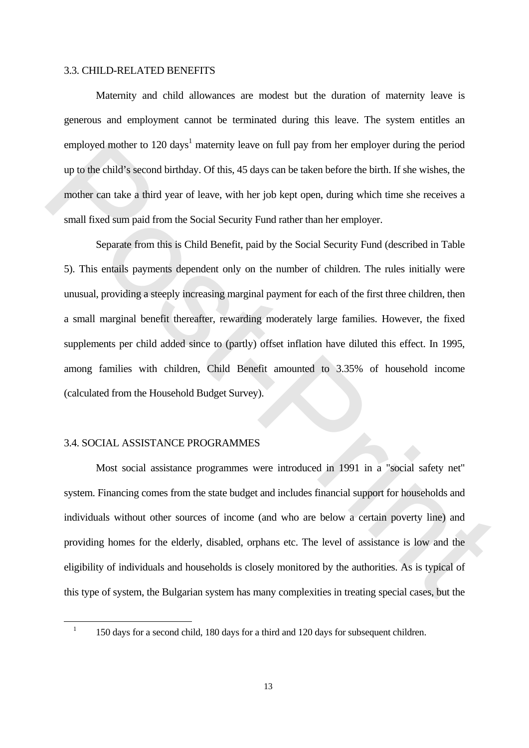#### 3.3. CHILD-RELATED BENEFITS

 Maternity and child allowances are modest but the duration of maternity leave is generous and employment cannot be terminated during this leave. The system entitles an employed mother to 120 days<sup>1</sup> maternity leave on full pay from her employer during the period up to the child's second birthday. Of this, 45 days can be taken before the birth. If she wishes, the mother can take a third year of leave, with her job kept open, during which time she receives a small fixed sum paid from the Social Security Fund rather than her employer.

 Separate from this is Child Benefit, paid by the Social Security Fund (described in Table 5). This entails payments dependent only on the number of children. The rules initially were unusual, providing a steeply increasing marginal payment for each of the first three children, then a small marginal benefit thereafter, rewarding moderately large families. However, the fixed supplements per child added since to (partly) offset inflation have diluted this effect. In 1995, among families with children, Child Benefit amounted to 3.35% of household income (calculated from the Household Budget Survey). employed mother to 120 days' maternity leave on tull pay from her employer during the period<br>up to the child's second birthday. Of this, 45 days can be taken before the birth. If she wishes, the<br>mother can take a third yea

## 3.4. SOCIAL ASSISTANCE PROGRAMMES

<u>.</u>

 Most social assistance programmes were introduced in 1991 in a "social safety net" system. Financing comes from the state budget and includes financial support for households and individuals without other sources of income (and who are below a certain poverty line) and providing homes for the elderly, disabled, orphans etc. The level of assistance is low and the eligibility of individuals and households is closely monitored by the authorities. As is typical of this type of system, the Bulgarian system has many complexities in treating special cases, but the

<sup>1</sup> 150 days for a second child, 180 days for a third and 120 days for subsequent children.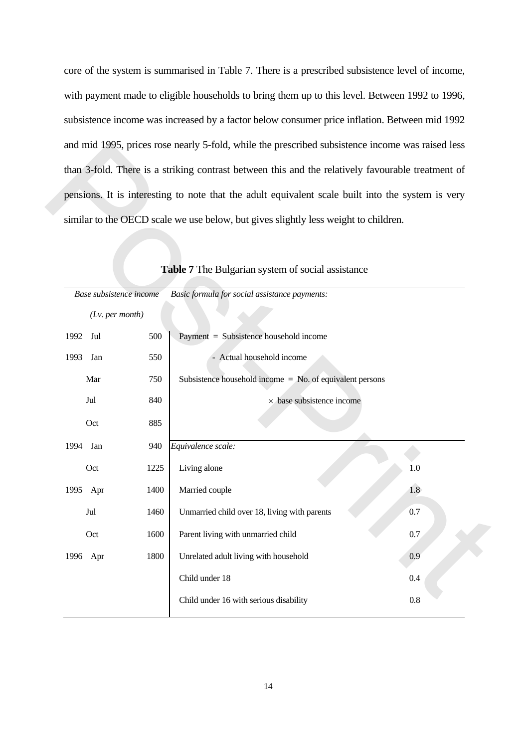core of the system is summarised in Table 7. There is a prescribed subsistence level of income, with payment made to eligible households to bring them up to this level. Between 1992 to 1996, subsistence income was increased by a factor below consumer price inflation. Between mid 1992 and mid 1995, prices rose nearly 5-fold, while the prescribed subsistence income was raised less than 3-fold. There is a striking contrast between this and the relatively favourable treatment of pensions. It is interesting to note that the adult equivalent scale built into the system is very similar to the OECD scale we use below, but gives slightly less weight to children.

|                         |      | similar to the OECD scale we use below, but gives slightly less weight to children. |     |
|-------------------------|------|-------------------------------------------------------------------------------------|-----|
|                         |      |                                                                                     |     |
|                         |      |                                                                                     |     |
|                         |      | Table 7 The Bulgarian system of social assistance                                   |     |
| Base subsistence income |      | Basic formula for social assistance payments:                                       |     |
| $(Lv.$ per month)       |      |                                                                                     |     |
| 1992<br>Jul             | 500  | Payment = Subsistence household income                                              |     |
| 1993<br>Jan             | 550  | - Actual household income                                                           |     |
| Mar                     | 750  | Subsistence household income $=$ No. of equivalent persons                          |     |
| Jul                     | 840  | $\times$ base subsistence income                                                    |     |
| Oct                     | 885  |                                                                                     |     |
| 1994<br>Jan             | 940  | Equivalence scale:                                                                  |     |
| Oct                     | 1225 | Living alone                                                                        | 1.0 |
| 1995 Apr                | 1400 | Married couple                                                                      | 1.8 |
| Jul                     | 1460 | Unmarried child over 18, living with parents                                        | 0.7 |
| Oct                     | 1600 | Parent living with unmarried child                                                  | 0.7 |
| 1996 Apr                | 1800 | Unrelated adult living with household                                               | 0.9 |
|                         |      | Child under 18                                                                      | 0.4 |
|                         |      | Child under 16 with serious disability                                              | 0.8 |

## **Table 7** The Bulgarian system of social assistance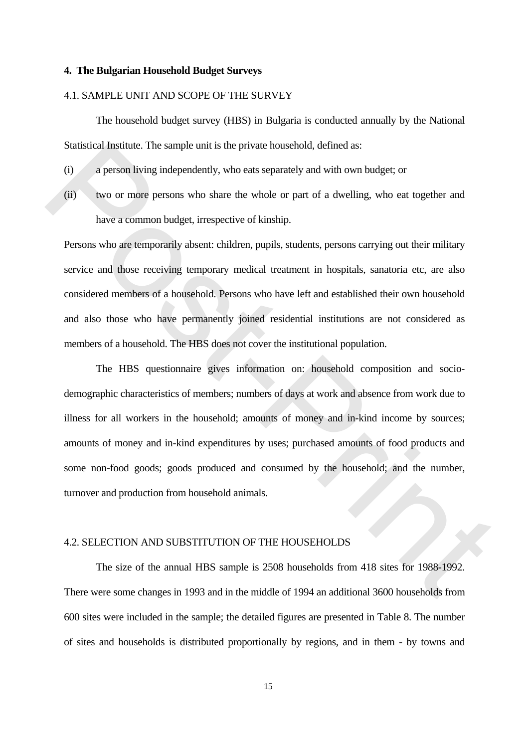#### **4. The Bulgarian Household Budget Surveys**

#### 4.1. SAMPLE UNIT AND SCOPE OF THE SURVEY

 The household budget survey (HBS) in Bulgaria is conducted annually by the National Statistical Institute. The sample unit is the private household, defined as:

- (i) a person living independently, who eats separately and with own budget; or
- (ii) two or more persons who share the whole or part of a dwelling, who eat together and have a common budget, irrespective of kinship.

Persons who are temporarily absent: children, pupils, students, persons carrying out their military service and those receiving temporary medical treatment in hospitals, sanatoria etc, are also considered members of a household. Persons who have left and established their own household and also those who have permanently joined residential institutions are not considered as members of a household. The HBS does not cover the institutional population.

 The HBS questionnaire gives information on: household composition and sociodemographic characteristics of members; numbers of days at work and absence from work due to illness for all workers in the household; amounts of money and in-kind income by sources; amounts of money and in-kind expenditures by uses; purchased amounts of food products and some non-food goods; goods produced and consumed by the household; and the number, turnover and production from household animals. Statistical Institute. The sample unit is the private bousehold, defined as:<br>
(i) a person living independently, who eats separately and with own budget; or<br>
(ii) two or more persons who share the whole or part of a dwelli

#### 4.2. SELECTION AND SUBSTITUTION OF THE HOUSEHOLDS

 The size of the annual HBS sample is 2508 households from 418 sites for 1988-1992. There were some changes in 1993 and in the middle of 1994 an additional 3600 households from 600 sites were included in the sample; the detailed figures are presented in Table 8. The number of sites and households is distributed proportionally by regions, and in them - by towns and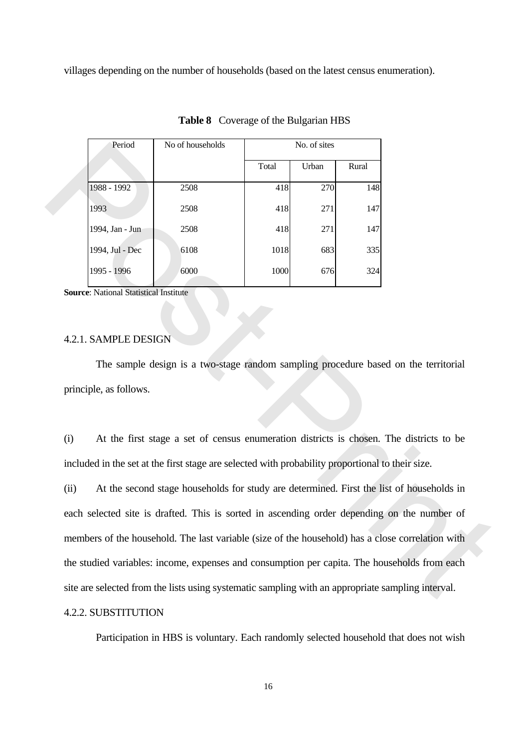villages depending on the number of households (based on the latest census enumeration).

| Period          | No of households |       | No. of sites |       |
|-----------------|------------------|-------|--------------|-------|
|                 |                  | Total | Urban        | Rural |
| 1988 - 1992     | 2508             | 418   | 270          | 148   |
| 1993            | 2508             | 418   | 271          | 147   |
| 1994, Jan - Jun | 2508             | 418   | 271          | 147   |
| 1994, Jul - Dec | 6108             | 1018  | 683          | 335   |
| 1995 - 1996     | 6000             | 1000  | 676          | 324   |

**Table 8** Coverage of the Bulgarian HBS

**Source**: National Statistical Institute

#### 4.2.1. SAMPLE DESIGN

 The sample design is a two-stage random sampling procedure based on the territorial principle, as follows.

(i) At the first stage a set of census enumeration districts is chosen. The districts to be included in the set at the first stage are selected with probability proportional to their size.

(ii) At the second stage households for study are determined. First the list of households in each selected site is drafted. This is sorted in ascending order depending on the number of members of the household. The last variable (size of the household) has a close correlation with the studied variables: income, expenses and consumption per capita. The households from each site are selected from the lists using systematic sampling with an appropriate sampling interval. Ford No of households<br>
1998 - 1992 2508 418 271<br>
1998 - 1992 2508 418 271<br>
1994, Jon June 2008 418 271<br>
1994, Jon June 2008 418 271<br>
1994 - 1996 - 1996 6<br>
1995 - 1996 6<br>
1995 - 1996 6<br>
1995 - 1996 6<br>
1996 - 1996 8<br>
1996 -

## 4.2.2. SUBSTITUTION

Participation in HBS is voluntary. Each randomly selected household that does not wish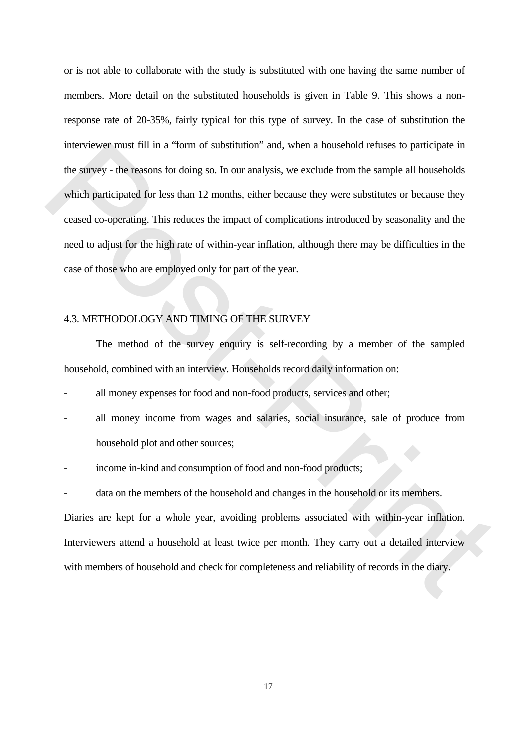or is not able to collaborate with the study is substituted with one having the same number of members. More detail on the substituted households is given in Table 9. This shows a nonresponse rate of 20-35%, fairly typical for this type of survey. In the case of substitution the interviewer must fill in a "form of substitution" and, when a household refuses to participate in the survey - the reasons for doing so. In our analysis, we exclude from the sample all households which participated for less than 12 months, either because they were substitutes or because they ceased co-operating. This reduces the impact of complications introduced by seasonality and the need to adjust for the high rate of within-year inflation, although there may be difficulties in the case of those who are employed only for part of the year. metries were must full in a "torm of substitution" and, when a bousehold refuses to participate in<br>the sarvey - the reasons for doing so. In our analysis, we exclude from the sample all households<br>which participated for le

## 4.3. METHODOLOGY AND TIMING OF THE SURVEY

 The method of the survey enquiry is self-recording by a member of the sampled household, combined with an interview. Households record daily information on:

- all money expenses for food and non-food products, services and other;
- all money income from wages and salaries, social insurance, sale of produce from household plot and other sources;
- income in-kind and consumption of food and non-food products;
- data on the members of the household and changes in the household or its members.

Diaries are kept for a whole year, avoiding problems associated with within-year inflation. Interviewers attend a household at least twice per month. They carry out a detailed interview with members of household and check for completeness and reliability of records in the diary.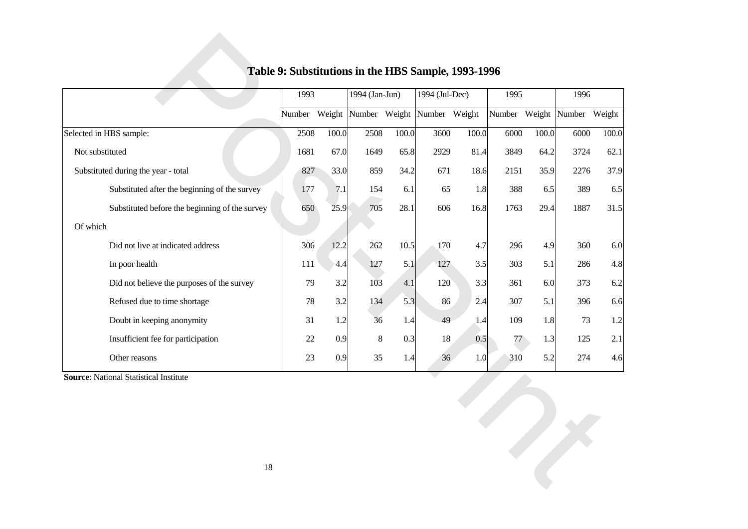|                                                | 1993 |       | 1994 (Jan-Jun)                            |       | 1994 (Jul-Dec) |       | 1995 |       | 1996                        |       |
|------------------------------------------------|------|-------|-------------------------------------------|-------|----------------|-------|------|-------|-----------------------------|-------|
|                                                |      |       | Number Weight Number Weight Number Weight |       |                |       |      |       | Number Weight Number Weight |       |
| Selected in HBS sample:                        | 2508 | 100.0 | 2508                                      | 100.0 | 3600           | 100.0 | 6000 | 100.0 | 6000                        | 100.0 |
| Not substituted                                | 1681 | 67.0  | 1649                                      | 65.8  | 2929           | 81.4  | 3849 | 64.2  | 3724                        | 62.1  |
| Substituted during the year - total            | 827  | 33.0  | 859                                       | 34.2  | 671            | 18.6  | 2151 | 35.9  | 2276                        | 37.9  |
| Substituted after the beginning of the survey  | 177  | 7.1   | 154                                       | 6.1   | 65             | 1.8   | 388  | 6.5   | 389                         | 6.5   |
| Substituted before the beginning of the survey | 650  | 25.9  | 705                                       | 28.1  | 606            | 16.8  | 1763 | 29.4  | 1887                        | 31.5  |
| Of which                                       |      |       |                                           |       |                |       |      |       |                             |       |
| Did not live at indicated address              | 306  | 12.2  | 262                                       | 10.5  | 170            | 4.7   | 296  | 4.9   | 360                         | 6.0   |
| In poor health                                 | 111  | 4.4   | 127                                       | 5.1   | 127            | 3.5   | 303  | 5.1   | 286                         | 4.8   |
| Did not believe the purposes of the survey     | 79   | 3.2   | 103                                       | 4.1   | 120            | 3.3   | 361  | 6.0   | 373                         | 6.2   |
| Refused due to time shortage                   | 78   | 3.2   | 134                                       | 5.3   | 86             | 2.4   | 307  | 5.1   | 396                         | 6.6   |
| Doubt in keeping anonymity                     | 31   | 1.2   | 36                                        | 1.4   | 49             | 1.4   | 109  | 1.8   | 73                          | 1.2   |
| Insufficient fee for participation             | 22   | 0.9   | 8                                         | 0.3   | 18             | 0.5   | 77   | 1.3   | 125                         | 2.1   |
| Other reasons                                  | 23   | 0.9   | 35                                        | 1.4   | 36             | 1.0   | 310  | 5.2   | 274                         | 4.6   |
| <b>Source: National Statistical Institute</b>  |      |       |                                           |       |                |       |      |       |                             |       |
|                                                |      |       |                                           |       |                |       |      |       |                             |       |
|                                                |      |       |                                           |       |                |       |      |       |                             |       |
|                                                |      |       |                                           |       |                |       |      |       |                             |       |
|                                                |      |       |                                           |       |                |       |      |       | $\rightarrow$               |       |
| 18                                             |      |       |                                           |       |                |       |      |       |                             |       |

## **Table 9: Substitutions in the HBS Sample, 1993-1996**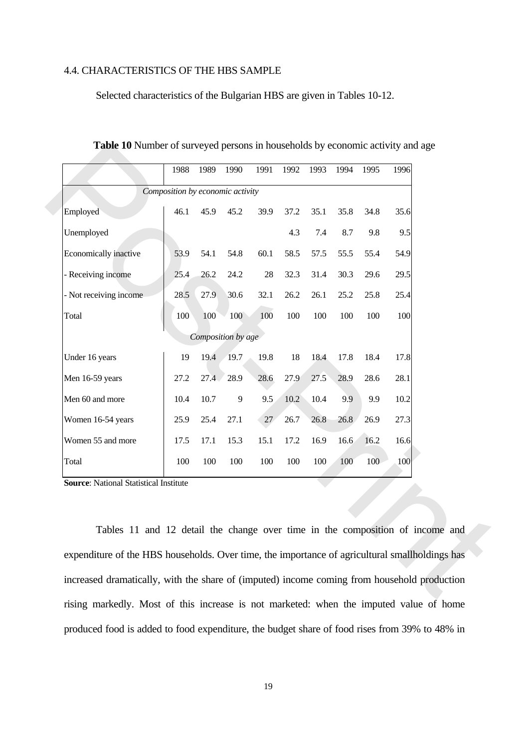#### 4.4. CHARACTERISTICS OF THE HBS SAMPLE

Selected characteristics of the Bulgarian HBS are given in Tables 10-12.

|                                                                                                | 1988                             | 1989 | 1990               | 1991   | 1992 | 1993 | 1994 | 1995 | 1996 |
|------------------------------------------------------------------------------------------------|----------------------------------|------|--------------------|--------|------|------|------|------|------|
|                                                                                                | Composition by economic activity |      |                    |        |      |      |      |      |      |
| Employed                                                                                       | 46.1                             | 45.9 | 45.2               | 39.9   | 37.2 | 35.1 | 35.8 | 34.8 | 35.6 |
| Unemployed                                                                                     |                                  |      |                    |        | 4.3  | 7.4  | 8.7  | 9.8  | 9.5  |
| Economically inactive                                                                          | 53.9                             | 54.1 | 54.8               | 60.1   | 58.5 | 57.5 | 55.5 | 55.4 | 54.9 |
| - Receiving income                                                                             | 25.4                             | 26.2 | 24.2               | $28\,$ | 32.3 | 31.4 | 30.3 | 29.6 | 29.5 |
| - Not receiving income                                                                         | 28.5                             | 27.9 | 30.6               | 32.1   | 26.2 | 26.1 | 25.2 | 25.8 | 25.4 |
| Total                                                                                          | 100                              | 100  | 100                | 100    | 100  | 100  | 100  | 100  | 100  |
|                                                                                                |                                  |      | Composition by age |        |      |      |      |      |      |
| Under 16 years                                                                                 | 19                               | 19.4 | 19.7               | 19.8   | 18   | 18.4 | 17.8 | 18.4 | 17.8 |
| Men 16-59 years                                                                                | 27.2                             | 27.4 | 28.9               | 28.6   | 27.9 | 27.5 | 28.9 | 28.6 | 28.1 |
| Men 60 and more                                                                                | 10.4                             | 10.7 | $\overline{9}$     | 9.5    | 10.2 | 10.4 | 9.9  | 9.9  | 10.2 |
| Women 16-54 years                                                                              | 25.9                             | 25.4 | 27.1               | $27\,$ | 26.7 | 26.8 | 26.8 | 26.9 | 27.3 |
| Women 55 and more                                                                              | 17.5                             | 17.1 | 15.3               | 15.1   | 17.2 | 16.9 | 16.6 | 16.2 | 16.6 |
| Total                                                                                          | 100                              | 100  | 100                | 100    | 100  | 100  | 100  | 100  | 100  |
| <b>Source: National Statistical Institute</b>                                                  |                                  |      |                    |        |      |      |      |      |      |
|                                                                                                |                                  |      |                    |        |      |      |      |      |      |
| Tables 11 and 12 detail the change over time in the composition of income and                  |                                  |      |                    |        |      |      |      |      |      |
|                                                                                                |                                  |      |                    |        |      |      |      |      |      |
| expenditure of the HBS households. Over time, the importance of agricultural smallholdings has |                                  |      |                    |        |      |      |      |      |      |
| increased dramatically, with the share of (imputed) income coming from household production    |                                  |      |                    |        |      |      |      |      |      |

**Table 10** Number of surveyed persons in households by economic activity and age

 Tables 11 and 12 detail the change over time in the composition of income and expenditure of the HBS households. Over time, the importance of agricultural smallholdings has increased dramatically, with the share of (imputed) income coming from household production rising markedly. Most of this increase is not marketed: when the imputed value of home produced food is added to food expenditure, the budget share of food rises from 39% to 48% in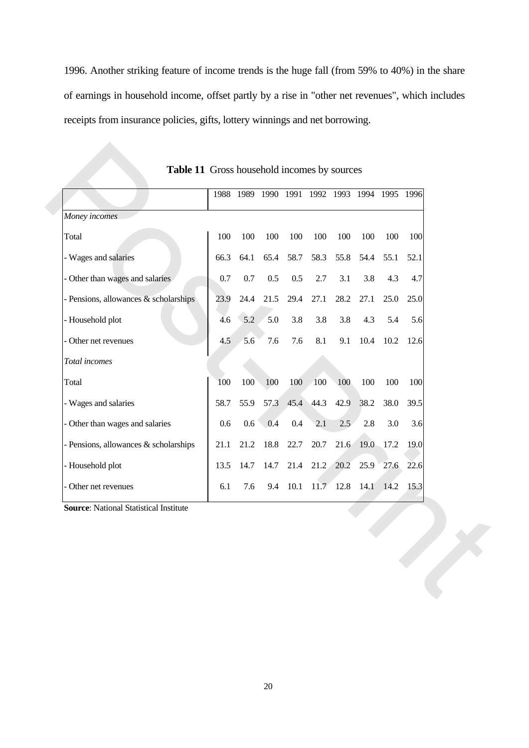1996. Another striking feature of income trends is the huge fall (from 59% to 40%) in the share of earnings in household income, offset partly by a rise in "other net revenues", which includes receipts from insurance policies, gifts, lottery winnings and net borrowing.

|                                               |         |         |         | 1988 1989 1990 1991 1992 1993 1994 1995 1996 |      |                  |      |           |      |
|-----------------------------------------------|---------|---------|---------|----------------------------------------------|------|------------------|------|-----------|------|
| Money incomes                                 |         |         |         |                                              |      |                  |      |           |      |
| Total                                         | 100     | 100     | 100     | 100                                          | 100  | 100              | 100  | 100       | 100  |
| - Wages and salaries                          | 66.3    | 64.1    | 65.4    | 58.7                                         | 58.3 | 55.8             | 54.4 | 55.1      | 52.1 |
| - Other than wages and salaries               | 0.7     | 0.7     | $0.5\,$ | $0.5\,$                                      | 2.7  | 3.1              | 3.8  | 4.3       | 4.7  |
| - Pensions, allowances & scholarships         | 23.9    | 24.4    | 21.5    | 29.4                                         | 27.1 | 28.2             | 27.1 | 25.0      | 25.0 |
| - Household plot                              | 4.6     | 5.2     | 5.0     | 3.8                                          | 3.8  | 3.8              | 4.3  | 5.4       | 5.6  |
| - Other net revenues                          | 4.5     | 5.6     | 7.6     | 7.6                                          | 8.1  | 9.1              | 10.4 | 10.2      | 12.6 |
| Total incomes                                 |         |         |         |                                              |      |                  |      |           |      |
| Total                                         | 100     | 100     | 100     | 100                                          | 100  | 100              | 100  | 100       | 100  |
| - Wages and salaries                          | 58.7    | 55.9    | 57.3    | 45.4                                         | 44.3 | 42.9             | 38.2 | 38.0      | 39.5 |
| - Other than wages and salaries               | $0.6\,$ | $0.6\,$ | 0.4     | $0.4\,$                                      | 2.1  | 2.5              | 2.8  | 3.0       | 3.6  |
| - Pensions, allowances & scholarships         | 21.1    | 21.2    | 18.8    | 22.7                                         | 20.7 | 21.6             |      | 19.0 17.2 | 19.0 |
| - Household plot                              | 13.5    | 14.7    | 14.7    | 21.4                                         |      | 21.2 20.2 25.9   |      | 27.6      | 22.6 |
| - Other net revenues                          | 6.1     | 7.6     | 9.4     | 10.1                                         |      | $11.7$ 12.8 14.1 |      | 14.2      | 15.3 |
| <b>Source:</b> National Statistical Institute |         |         |         |                                              |      |                  |      |           |      |

| <b>Table 11</b> Gross household incomes by sources |  |
|----------------------------------------------------|--|
|----------------------------------------------------|--|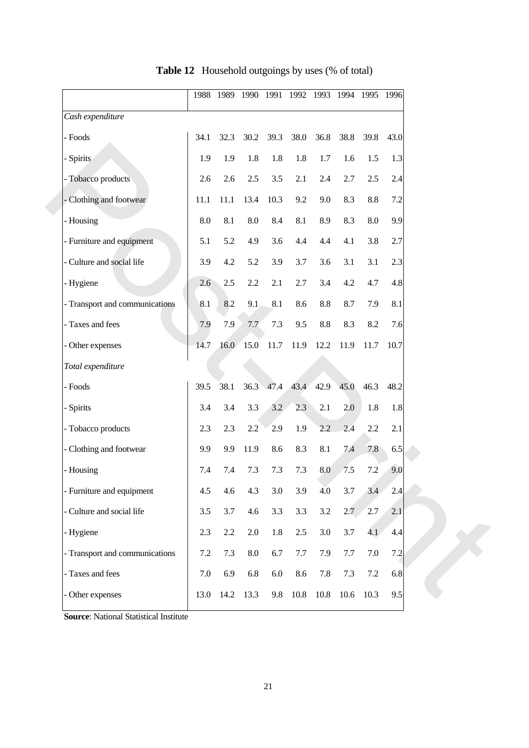|                                | 1988    |         |            |         | 1989 1990 1991 1992 1993 1994 1995 1996 |         |         |      |         |
|--------------------------------|---------|---------|------------|---------|-----------------------------------------|---------|---------|------|---------|
| Cash expenditure               |         |         |            |         |                                         |         |         |      |         |
| - Foods                        | 34.1    | 32.3    | 30.2       | 39.3    | 38.0                                    | 36.8    | 38.8    | 39.8 | 43.0    |
| - Spirits                      | 1.9     | 1.9     | 1.8        | 1.8     | 1.8                                     | 1.7     | 1.6     | 1.5  | 1.3     |
| - Tobacco products             | 2.6     | 2.6     | $2.5\,$    | 3.5     | 2.1                                     | 2.4     | 2.7     | 2.5  | 2.4     |
| - Clothing and footwear        | 11.1    | 11.1    | 13.4       | 10.3    | 9.2                                     | 9.0     | 8.3     | 8.8  | 7.2     |
| - Housing                      | 8.0     | 8.1     | 8.0        | 8.4     | 8.1                                     | 8.9     | 8.3     | 8.0  | 9.9     |
| - Furniture and equipment      | 5.1     | 5.2     | 4.9        | 3.6     | 4.4                                     | 4.4     | 4.1     | 3.8  | 2.7     |
| - Culture and social life      | 3.9     | 4.2     | 5.2        | 3.9     | 3.7                                     | 3.6     | 3.1     | 3.1  | 2.3     |
| - Hygiene                      | 2.6     | 2.5     | 2.2        | 2.1     | 2.7                                     | 3.4     | 4.2     | 4.7  | 4.8     |
| - Transport and communications | 8.1     | 8.2     | 9.1        | 8.1     | 8.6                                     | $\,8.8$ | 8.7     | 7.9  | 8.1     |
| - Taxes and fees               | 7.9     | 7.9     | 7.7        | 7.3     | 9.5                                     | 8.8     | 8.3     | 8.2  | 7.6     |
| - Other expenses               | 14.7    | 16.0    | 15.0       | 11.7    | 11.9                                    | 12.2    | 11.9    | 11.7 | 10.7    |
| Total expenditure              |         |         |            |         |                                         |         |         |      |         |
| - Foods                        | 39.5    | 38.1    | 36.3       | 47.4    | 43.4                                    | 42.9    | 45.0    | 46.3 | 48.2    |
| - Spirits                      | 3.4     | 3.4     | 3.3        | 3.2     | 2.3                                     | 2.1     | 2.0     | 1.8  | 1.8     |
| - Tobacco products             | 2.3     | 2.3     | 2.2        | 2.9     | 1.9                                     | 2.2     | 2.4     | 2.2  | 2.1     |
| - Clothing and footwear        | 9.9     | 9.9     | 11.9       | 8.6     | 8.3                                     | 8.1     | 7.4     | 7.8  | 6.5     |
| - Housing                      | 7.4     | 7.4     | 7.3        | 7.3     | 7.3                                     | 8.0     | 7.5     | 7.2  | 9.0     |
| - Furniture and equipment      | 4.5     | 4.6     | 4.3        | 3.0     | 3.9                                     | 4.0     | 3.7     | 3.4  | 2.4     |
| - Culture and social life      | 3.5     | 3.7     | 4.6        | 3.3     | 3.3                                     | 3.2     | 2.7     | 2.7  | 2.1     |
| - Hygiene                      | 2.3     | $2.2\,$ | $2.0\,$    | 1.8     | $2.5\,$                                 | $3.0\,$ | 3.7     | 4.1  | $4.4\,$ |
| - Transport and communications | $7.2\,$ | 7.3     | $\ \, 8.0$ | 6.7     | $7.7\,$                                 | 7.9     | $7.7\,$ | 7.0  | $7.2\,$ |
| - Taxes and fees               | 7.0     | 6.9     | 6.8        | $6.0\,$ | 8.6                                     | 7.8     | 7.3     | 7.2  | 6.8     |
| - Other expenses               | 13.0    | 14.2    | 13.3       | 9.8     | $10.8\,$                                | 10.8    | 10.6    | 10.3 | 9.5     |

## **Table 12** Household outgoings by uses (% of total)

**Source**: National Statistical Institute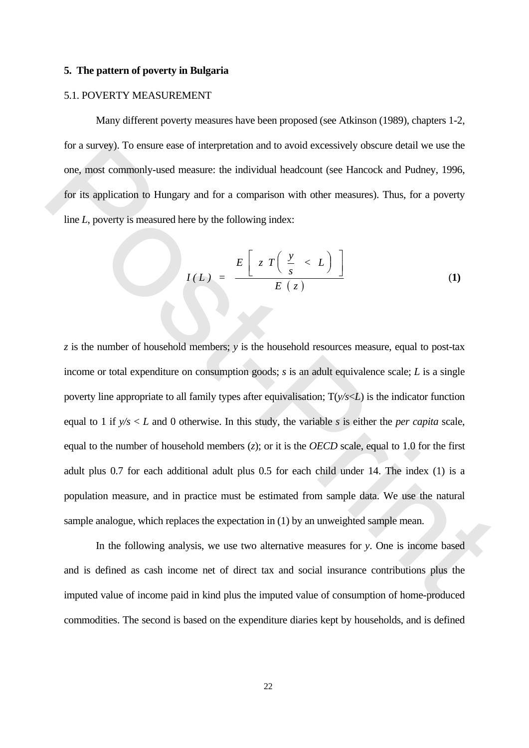#### **5. The pattern of poverty in Bulgaria**

#### 5.1. POVERTY MEASUREMENT

 Many different poverty measures have been proposed (see Atkinson (1989), chapters 1-2, for a survey). To ensure ease of interpretation and to avoid excessively obscure detail we use the one, most commonly-used measure: the individual headcount (see Hancock and Pudney, 1996, for its application to Hungary and for a comparison with other measures). Thus, for a poverty line *L*, poverty is measured here by the following index:

$$
I(L) = \frac{E\left[ z T\left(\frac{y}{s} < L\right) \right]}{E(z)}
$$
 (1)

*z* is the number of household members; *y* is the household resources measure, equal to post-tax income or total expenditure on consumption goods; *s* is an adult equivalence scale; *L* is a single poverty line appropriate to all family types after equivalisation; T(*y/s*<*L*) is the indicator function equal to 1 if *y/s* < *L* and 0 otherwise. In this study, the variable *s* is either the *per capita* scale, equal to the number of household members (*z*); or it is the *OECD* scale, equal to 1.0 for the first adult plus 0.7 for each additional adult plus 0.5 for each child under 14. The index (1) is a population measure, and in practice must be estimated from sample data. We use the natural sample analogue, which replaces the expectation in (1) by an unweighted sample mean. for a survey). To ensure ease of interpretation and to avoid excessively obscure detail we use the<br>one, most commonly-used measure: the individual headcount (see Hancock and Puchey, 1996,<br>for its application to Hungary an

 In the following analysis, we use two alternative measures for *y*. One is income based and is defined as cash income net of direct tax and social insurance contributions plus the imputed value of income paid in kind plus the imputed value of consumption of home-produced commodities. The second is based on the expenditure diaries kept by households, and is defined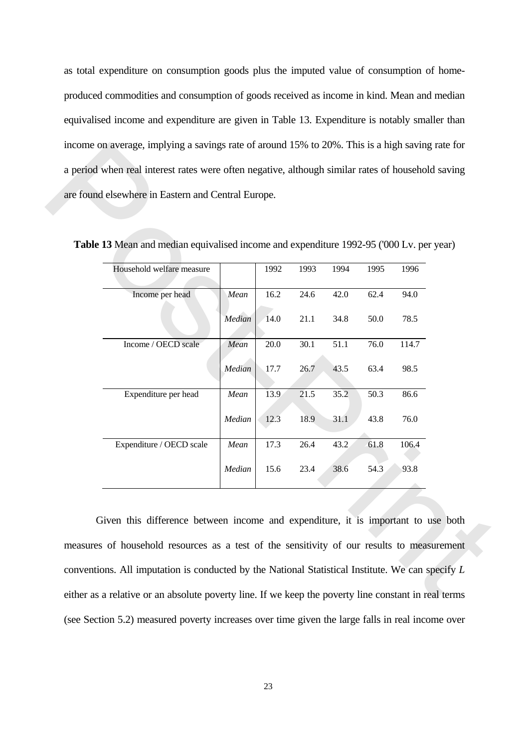as total expenditure on consumption goods plus the imputed value of consumption of homeproduced commodities and consumption of goods received as income in kind. Mean and median equivalised income and expenditure are given in Table 13. Expenditure is notably smaller than income on average, implying a savings rate of around 15% to 20%. This is a high saving rate for a period when real interest rates were often negative, although similar rates of household saving are found elsewhere in Eastern and Central Europe.

| Table 13 Mean and median equivalised income and expenditure 1992-95 ('000 Lv. per year) |        |      |      |      |      |       |
|-----------------------------------------------------------------------------------------|--------|------|------|------|------|-------|
| Household welfare measure                                                               |        | 1992 | 1993 | 1994 | 1995 | 1996  |
| Income per head                                                                         | Mean   | 16.2 | 24.6 | 42.0 | 62.4 | 94.0  |
|                                                                                         | Median | 14.0 | 21.1 | 34.8 | 50.0 | 78.5  |
| Income / OECD scale                                                                     | Mean   | 20.0 | 30.1 | 51.1 | 76.0 | 114.7 |
|                                                                                         | Median | 17.7 | 26.7 | 43.5 | 63.4 | 98.5  |
| Expenditure per head                                                                    | Mean   | 13.9 | 21.5 | 35.2 | 50.3 | 86.6  |
|                                                                                         | Median | 12.3 | 18.9 | 31.1 | 43.8 | 76.0  |
| Expenditure / OECD scale                                                                | Mean   | 17.3 | 26.4 | 43.2 | 61.8 | 106.4 |
|                                                                                         | Median | 15.6 | 23.4 | 38.6 | 54.3 | 93.8  |
|                                                                                         |        |      |      |      |      |       |

**Table 13** Mean and median equivalised income and expenditure 1992-95 ('000 Lv. per year)

 Given this difference between income and expenditure, it is important to use both measures of household resources as a test of the sensitivity of our results to measurement conventions. All imputation is conducted by the National Statistical Institute. We can specify *L* either as a relative or an absolute poverty line. If we keep the poverty line constant in real terms (see Section 5.2) measured poverty increases over time given the large falls in real income over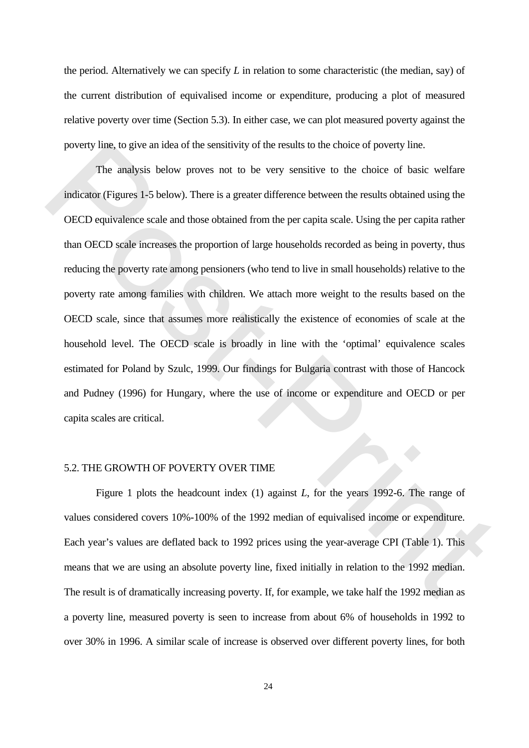the period. Alternatively we can specify *L* in relation to some characteristic (the median, say) of the current distribution of equivalised income or expenditure, producing a plot of measured relative poverty over time (Section 5.3). In either case, we can plot measured poverty against the poverty line, to give an idea of the sensitivity of the results to the choice of poverty line.

 The analysis below proves not to be very sensitive to the choice of basic welfare indicator (Figures 1-5 below). There is a greater difference between the results obtained using the OECD equivalence scale and those obtained from the per capita scale. Using the per capita rather than OECD scale increases the proportion of large households recorded as being in poverty, thus reducing the poverty rate among pensioners (who tend to live in small households) relative to the poverty rate among families with children. We attach more weight to the results based on the OECD scale, since that assumes more realistically the existence of economies of scale at the household level. The OECD scale is broadly in line with the 'optimal' equivalence scales estimated for Poland by Szulc, 1999. Our findings for Bulgaria contrast with those of Hancock and Pudney (1996) for Hungary, where the use of income or expenditure and OECD or per capita scales are critical. poverty line, to give an idea of the sensitivity of the results to the choice of poverty line.<br>The analysis below proves not to be very sensitive to the choice of basic welfare<br>indicator (Figures 1-5 below). There is a gre

#### 5.2. THE GROWTH OF POVERTY OVER TIME

 Figure 1 plots the headcount index (1) against *L*, for the years 1992-6. The range of values considered covers 10%-100% of the 1992 median of equivalised income or expenditure. Each year's values are deflated back to 1992 prices using the year-average CPI (Table 1). This means that we are using an absolute poverty line, fixed initially in relation to the 1992 median. The result is of dramatically increasing poverty. If, for example, we take half the 1992 median as a poverty line, measured poverty is seen to increase from about 6% of households in 1992 to over 30% in 1996. A similar scale of increase is observed over different poverty lines, for both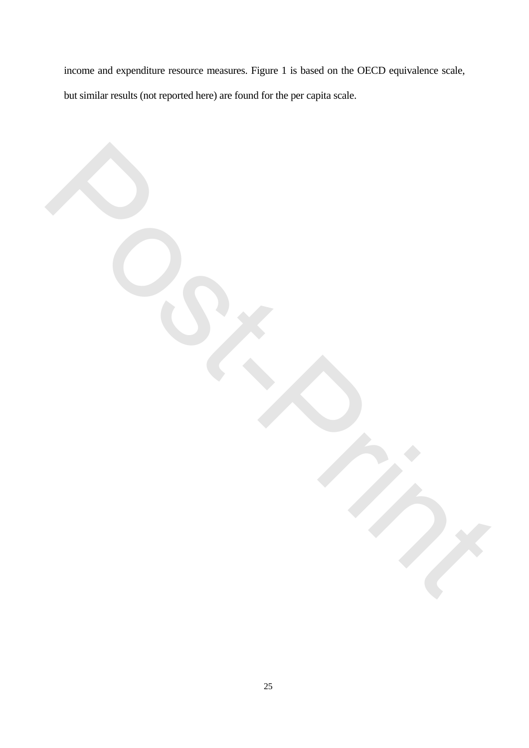income and expenditure resource measures. Figure 1 is based on the OECD equivalence scale, but similar results (not reported here) are found for the per capita scale.

Post-Print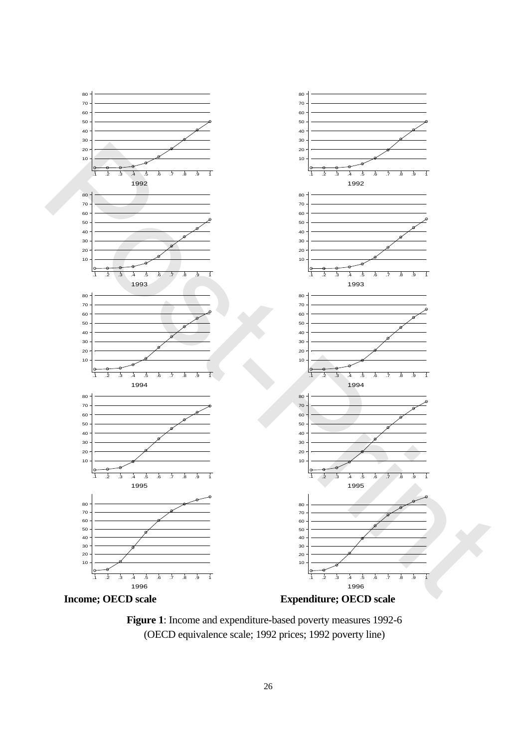

**Figure 1**: Income and expenditure-based poverty measures 1992-6 (OECD equivalence scale; 1992 prices; 1992 poverty line)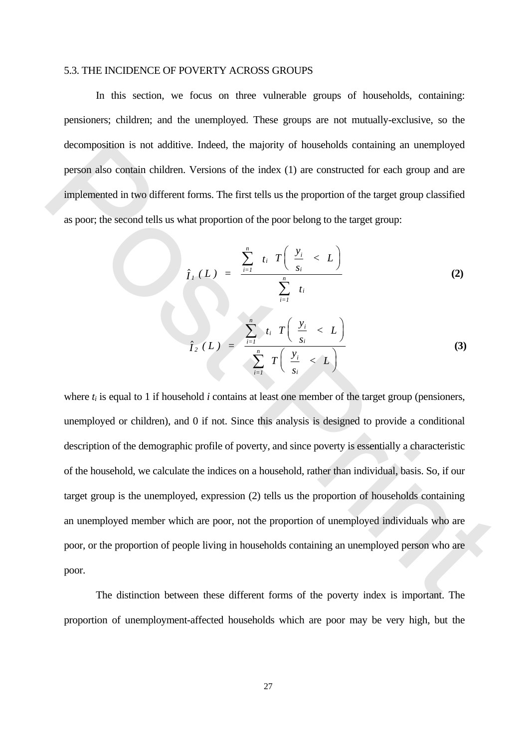#### 5.3. THE INCIDENCE OF POVERTY ACROSS GROUPS

 In this section, we focus on three vulnerable groups of households, containing: pensioners; children; and the unemployed. These groups are not mutually-exclusive, so the decomposition is not additive. Indeed, the majority of households containing an unemployed person also contain children. Versions of the index (1) are constructed for each group and are implemented in two different forms. The first tells us the proportion of the target group classified as poor; the second tells us what proportion of the poor belong to the target group:

$$
\hat{I}_I(L) = \frac{\sum_{i=1}^n t_i T\left(\frac{y_i}{s_i} < L\right)}{\sum_{i=1}^n t_i}
$$
\n
$$
\hat{I}_2(L) = \frac{\sum_{i=1}^n t_i T\left(\frac{y_i}{s_i} < L\right)}{\sum_{i=1}^n T\left(\frac{y_i}{s_i} < L\right)}
$$
\n(3)

where  $t_i$  is equal to 1 if household  $i$  contains at least one member of the target group (pensioners, unemployed or children), and 0 if not. Since this analysis is designed to provide a conditional description of the demographic profile of poverty, and since poverty is essentially a characteristic of the household, we calculate the indices on a household, rather than individual, basis. So, if our target group is the unemployed, expression (2) tells us the proportion of households containing an unemployed member which are poor, not the proportion of unemployed individuals who are poor, or the proportion of people living in households containing an unemployed person who are poor. decomposition is not additive. Indeed, the majority of households containing an unemployed<br>
person also contain children. Versions of the index (1) are constructed for each group and are<br>
implemented in two different form

 The distinction between these different forms of the poverty index is important. The proportion of unemployment-affected households which are poor may be very high, but the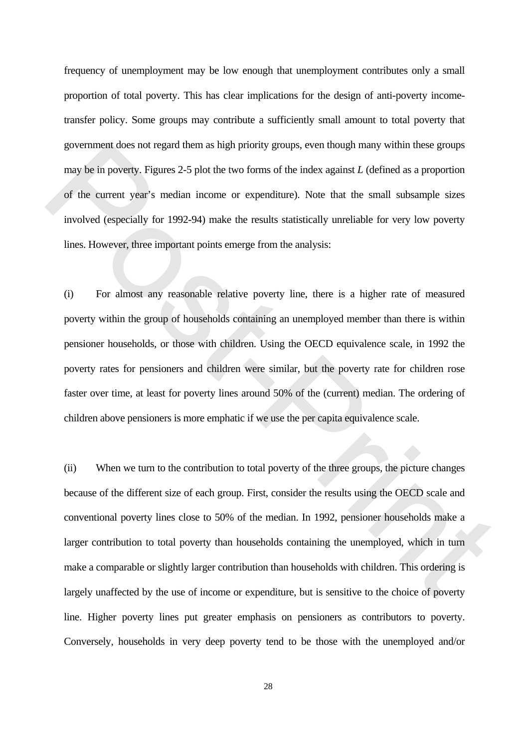frequency of unemployment may be low enough that unemployment contributes only a small proportion of total poverty. This has clear implications for the design of anti-poverty incometransfer policy. Some groups may contribute a sufficiently small amount to total poverty that government does not regard them as high priority groups, even though many within these groups may be in poverty. Figures 2-5 plot the two forms of the index against *L* (defined as a proportion of the current year's median income or expenditure). Note that the small subsample sizes involved (especially for 1992-94) make the results statistically unreliable for very low poverty lines. However, three important points emerge from the analysis:

(i) For almost any reasonable relative poverty line, there is a higher rate of measured poverty within the group of households containing an unemployed member than there is within pensioner households, or those with children. Using the OECD equivalence scale, in 1992 the poverty rates for pensioners and children were similar, but the poverty rate for children rose faster over time, at least for poverty lines around 50% of the (current) median. The ordering of children above pensioners is more emphatic if we use the per capita equivalence scale.

(ii) When we turn to the contribution to total poverty of the three groups, the picture changes because of the different size of each group. First, consider the results using the OECD scale and conventional poverty lines close to 50% of the median. In 1992, pensioner households make a larger contribution to total poverty than households containing the unemployed, which in turn make a comparable or slightly larger contribution than households with children. This ordering is largely unaffected by the use of income or expenditure, but is sensitive to the choice of poverty line. Higher poverty lines put greater emphasis on pensioners as contributors to poverty. Conversely, households in very deep poverty tend to be those with the unemployed and/or government does not regard them as high priority groups, even though many within these groups<br>nay be in poverty. Figures 2-5 plot the two forms of the index against L (defined as a proportion<br>of the current year's median i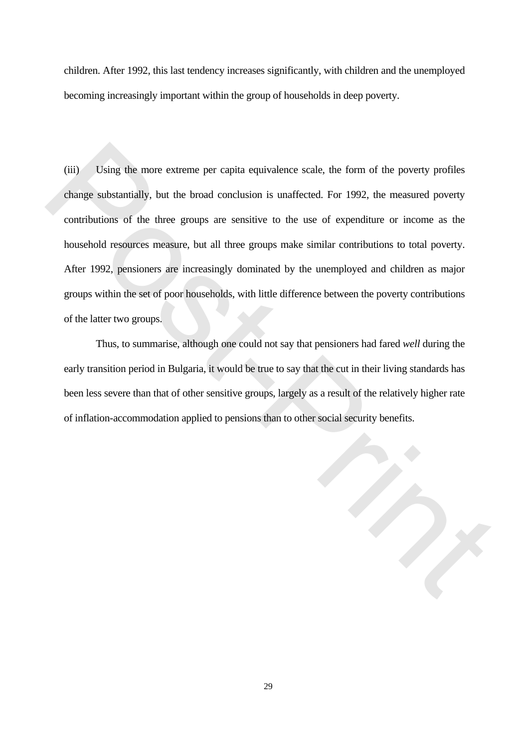children. After 1992, this last tendency increases significantly, with children and the unemployed becoming increasingly important within the group of households in deep poverty.

(iii) Using the more extreme per capita equivalence scale, the form of the poverty profiles change substantially, but the broad conclusion is unaffected. For 1992, the measured poverty contributions of the three groups are sensitive to the use of expenditure or income as the household resources measure, but all three groups make similar contributions to total poverty. After 1992, pensioners are increasingly dominated by the unemployed and children as major groups within the set of poor households, with little difference between the poverty contributions of the latter two groups.

 Thus, to summarise, although one could not say that pensioners had fared *well* during the early transition period in Bulgaria, it would be true to say that the cut in their living standards has been less severe than that of other sensitive groups, largely as a result of the relatively higher rate of inflation-accommodation applied to pensions than to other social security benefits.

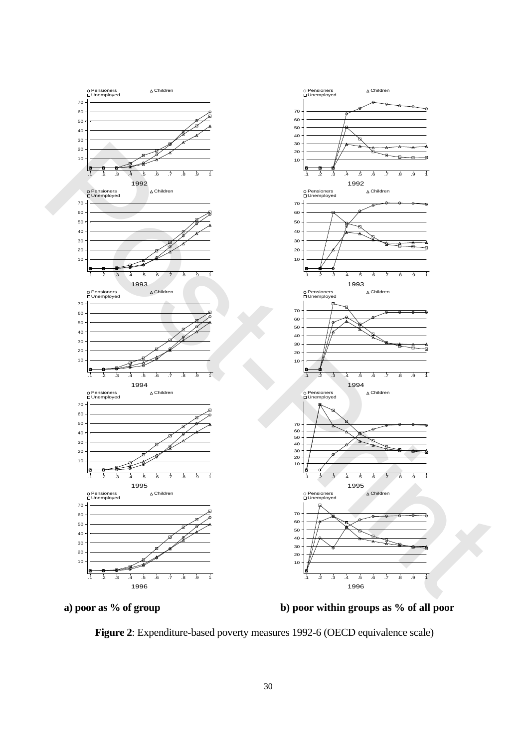

**a) poor as % of group** 

**b) poor within groups as % of all poor**

**Figure 2**: Expenditure-based poverty measures 1992-6 (OECD equivalence scale)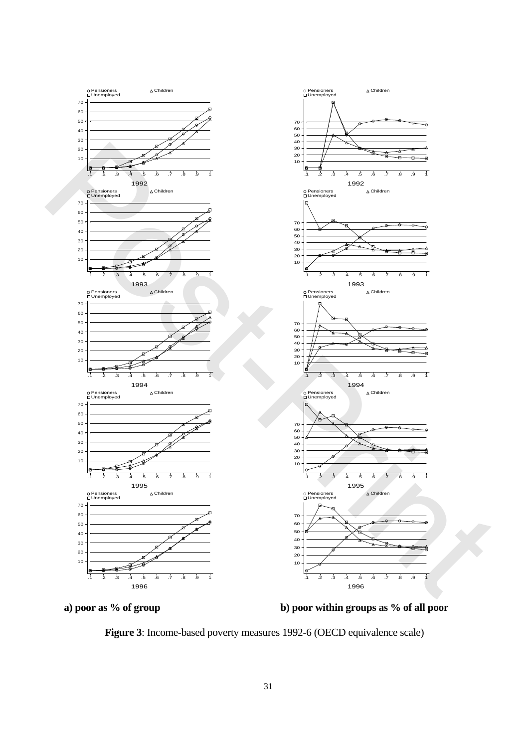

**a) poor as % of group** 

**b) poor within groups as % of all poor**

**Figure 3**: Income-based poverty measures 1992-6 (OECD equivalence scale)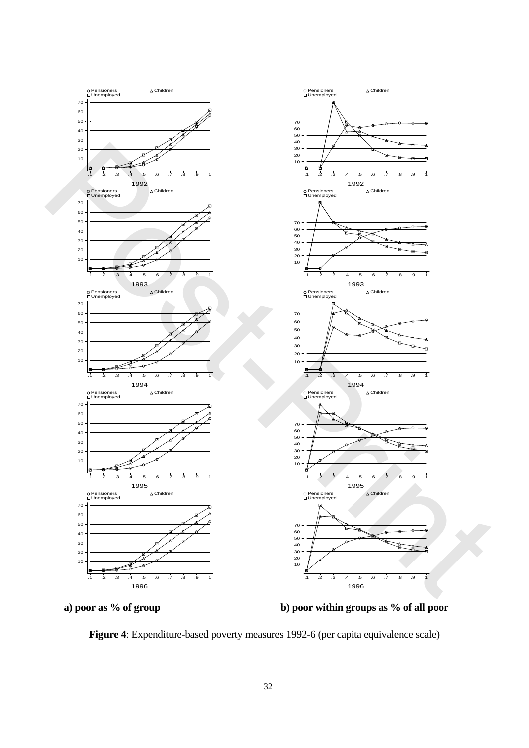

**a) poor as % of group** 

**b) poor within groups as % of all poor**

**Figure 4**: Expenditure-based poverty measures 1992-6 (per capita equivalence scale)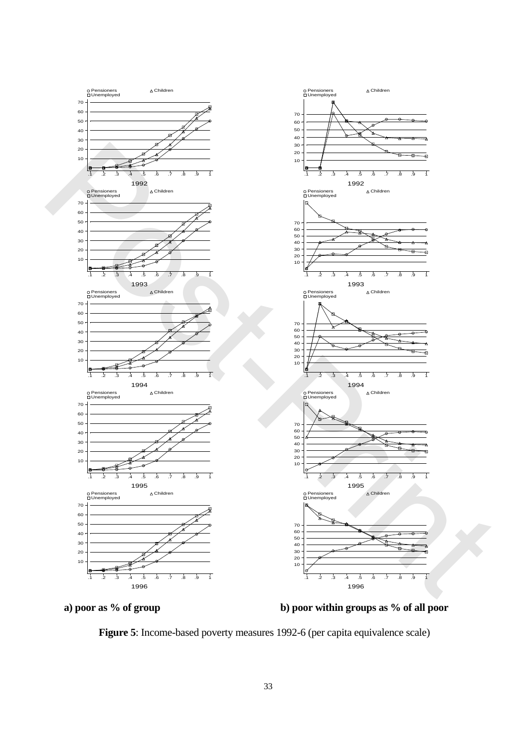

**a) poor as % of group** 

**b) poor within groups as % of all poor**

**Figure 5**: Income-based poverty measures 1992-6 (per capita equivalence scale)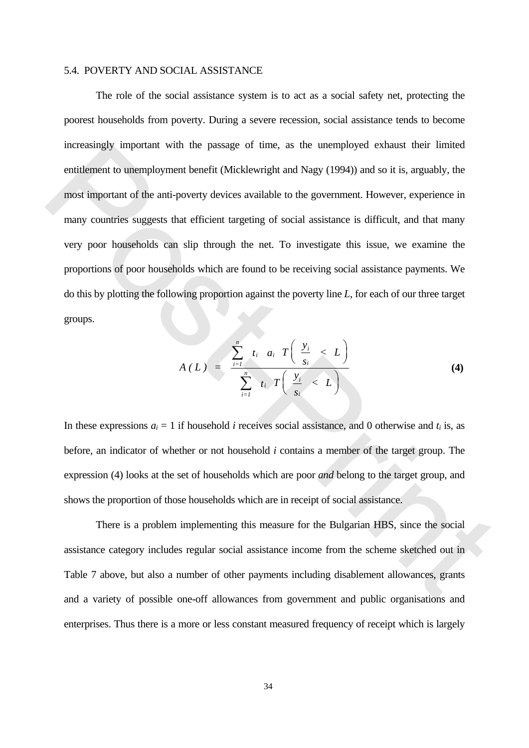#### 5.4. POVERTY AND SOCIAL ASSISTANCE

 The role of the social assistance system is to act as a social safety net, protecting the poorest households from poverty. During a severe recession, social assistance tends to become increasingly important with the passage of time, as the unemployed exhaust their limited entitlement to unemployment benefit (Micklewright and Nagy (1994)) and so it is, arguably, the most important of the anti-poverty devices available to the government. However, experience in many countries suggests that efficient targeting of social assistance is difficult, and that many very poor households can slip through the net. To investigate this issue, we examine the proportions of poor households which are found to be receiving social assistance payments. We do this by plotting the following proportion against the poverty line *L*, for each of our three target groups. meresiangly important with the passage of time, as the unemployed exhaust their limited<br>entidenent to unemployment benefit (Micklewright and Nagy (1994)) and so it is, arguably, the<br>most important of the anti-poverty devi

$$
A(L) = \frac{\sum_{i=1}^{n} t_i \quad a_i \quad T\left(\frac{y_i}{s_i} < L\right)}{\sum_{i=1}^{n} t_i \quad T\left(\frac{y_i}{s_i} < L\right)}
$$
\n
$$
(4)
$$

In these expressions  $a_i = 1$  if household *i* receives social assistance, and 0 otherwise and  $t_i$  is, as before, an indicator of whether or not household *i* contains a member of the target group. The expression (4) looks at the set of households which are poor *and* belong to the target group, and shows the proportion of those households which are in receipt of social assistance.

 There is a problem implementing this measure for the Bulgarian HBS, since the social assistance category includes regular social assistance income from the scheme sketched out in Table 7 above, but also a number of other payments including disablement allowances, grants and a variety of possible one-off allowances from government and public organisations and enterprises. Thus there is a more or less constant measured frequency of receipt which is largely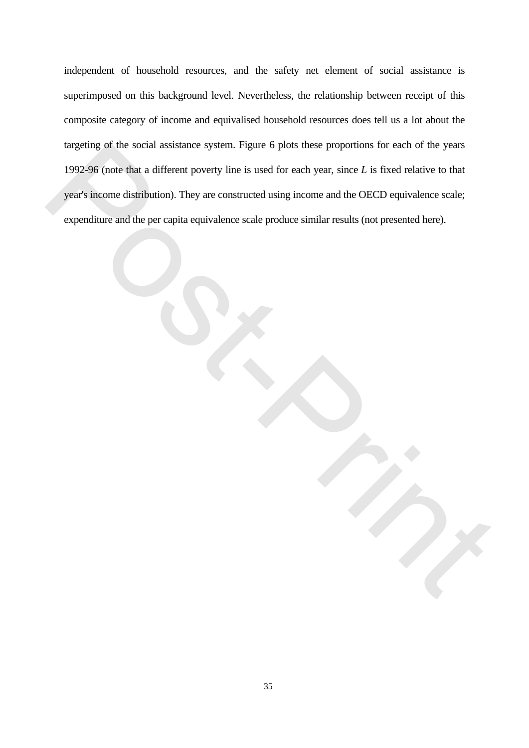independent of household resources, and the safety net element of social assistance is superimposed on this background level. Nevertheless, the relationship between receipt of this composite category of income and equivalised household resources does tell us a lot about the targeting of the social assistance system. Figure 6 plots these proportions for each of the years 1992-96 (note that a different poverty line is used for each year, since *L* is fixed relative to that year's income distribution). They are constructed using income and the OECD equivalence scale; turgeting of the social assistance system. Figure 6 plots these proportions for each of the years<br>1992-96 (note that a different poverty line is used for each year, since L is fixed relative to that<br>year's income distribut expenditure and the per capita equivalence scale produce similar results (not presented here).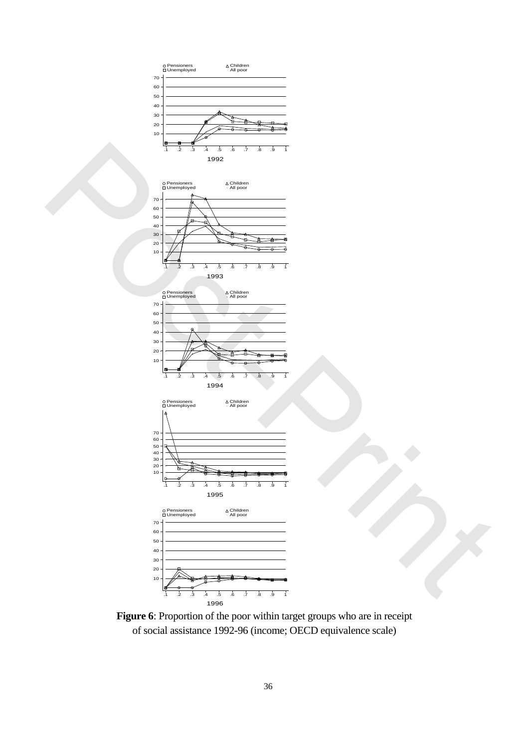

**Figure 6**: Proportion of the poor within target groups who are in receipt of social assistance 1992-96 (income; OECD equivalence scale)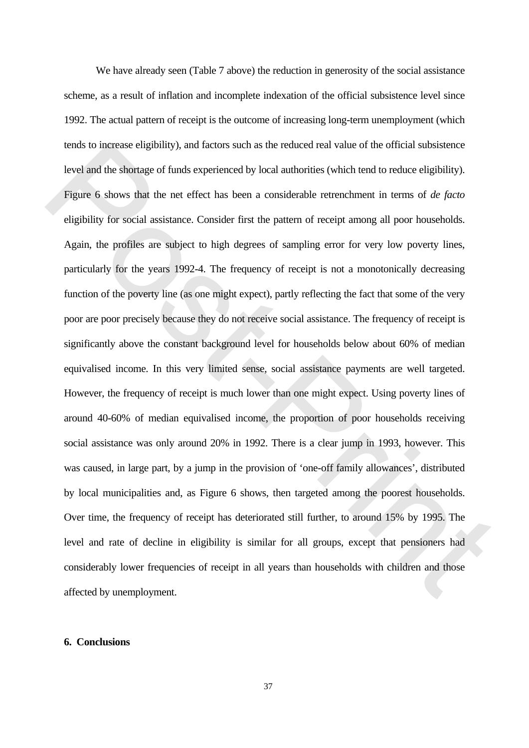We have already seen (Table 7 above) the reduction in generosity of the social assistance scheme, as a result of inflation and incomplete indexation of the official subsistence level since 1992. The actual pattern of receipt is the outcome of increasing long-term unemployment (which tends to increase eligibility), and factors such as the reduced real value of the official subsistence level and the shortage of funds experienced by local authorities (which tend to reduce eligibility). Figure 6 shows that the net effect has been a considerable retrenchment in terms of *de facto* eligibility for social assistance. Consider first the pattern of receipt among all poor households. Again, the profiles are subject to high degrees of sampling error for very low poverty lines, particularly for the years 1992-4. The frequency of receipt is not a monotonically decreasing function of the poverty line (as one might expect), partly reflecting the fact that some of the very poor are poor precisely because they do not receive social assistance. The frequency of receipt is significantly above the constant background level for households below about 60% of median equivalised income. In this very limited sense, social assistance payments are well targeted. However, the frequency of receipt is much lower than one might expect. Using poverty lines of around 40-60% of median equivalised income, the proportion of poor households receiving social assistance was only around 20% in 1992. There is a clear jump in 1993, however. This was caused, in large part, by a jump in the provision of 'one-off family allowances', distributed by local municipalities and, as Figure 6 shows, then targeted among the poorest households. Over time, the frequency of receipt has deteriorated still further, to around 15% by 1995. The level and rate of decline in eligibility is similar for all groups, except that pensioners had considerably lower frequencies of receipt in all years than households with children and those affected by unemployment. tends to increase eligibility), and factors such as the reduced real value of the official subsistence<br>level and the shoringe of funds experienced by local authorities (which tend to reduce eligibility).<br>Figure 6 shows th

## **6. Conclusions**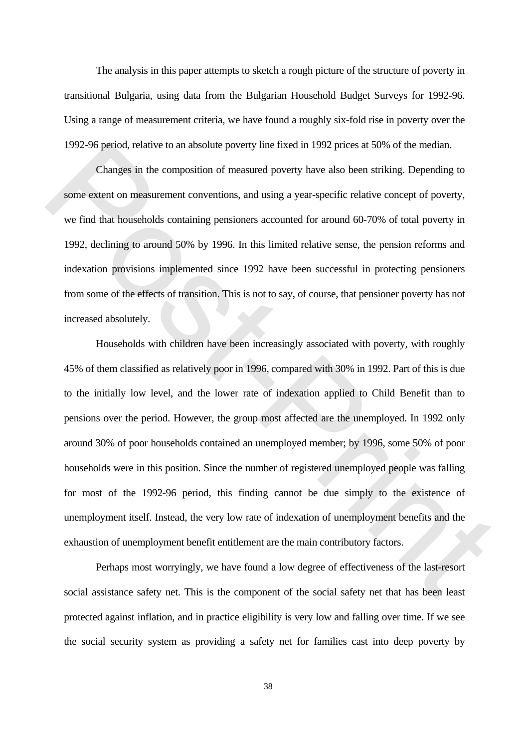The analysis in this paper attempts to sketch a rough picture of the structure of poverty in transitional Bulgaria, using data from the Bulgarian Household Budget Surveys for 1992-96. Using a range of measurement criteria, we have found a roughly six-fold rise in poverty over the 1992-96 period, relative to an absolute poverty line fixed in 1992 prices at 50% of the median.

 Changes in the composition of measured poverty have also been striking. Depending to some extent on measurement conventions, and using a year-specific relative concept of poverty, we find that households containing pensioners accounted for around 60-70% of total poverty in 1992, declining to around 50% by 1996. In this limited relative sense, the pension reforms and indexation provisions implemented since 1992 have been successful in protecting pensioners from some of the effects of transition. This is not to say, of course, that pensioner poverty has not increased absolutely.

 Households with children have been increasingly associated with poverty, with roughly 45% of them classified as relatively poor in 1996, compared with 30% in 1992. Part of this is due to the initially low level, and the lower rate of indexation applied to Child Benefit than to pensions over the period. However, the group most affected are the unemployed. In 1992 only around 30% of poor households contained an unemployed member; by 1996, some 50% of poor households were in this position. Since the number of registered unemployed people was falling for most of the 1992-96 period, this finding cannot be due simply to the existence of unemployment itself. Instead, the very low rate of indexation of unemployment benefits and the exhaustion of unemployment benefit entitlement are the main contributory factors. 1992-96 period, relative to an absolute poverty line fixed in 1992 prices at 50% of the median.<br>
Changes in the composition of measured poverty have also been striking. Depending to<br>
some extent on measurement conventions,

 Perhaps most worryingly, we have found a low degree of effectiveness of the last-resort social assistance safety net. This is the component of the social safety net that has been least protected against inflation, and in practice eligibility is very low and falling over time. If we see the social security system as providing a safety net for families cast into deep poverty by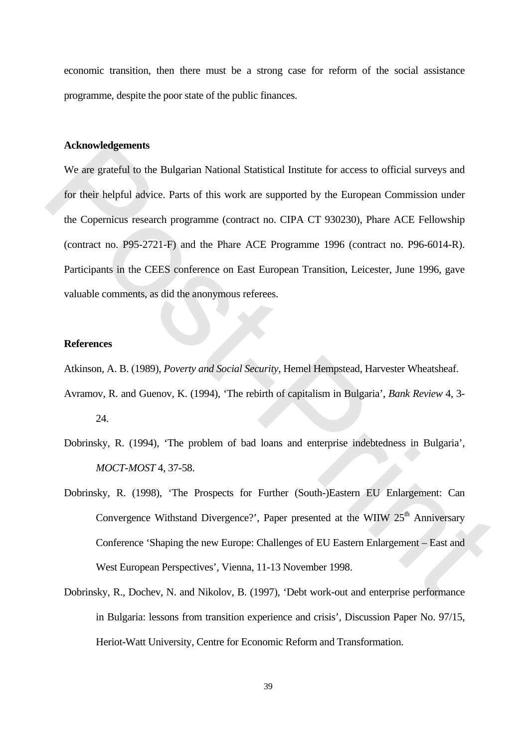economic transition, then there must be a strong case for reform of the social assistance programme, despite the poor state of the public finances.

#### **Acknowledgements**

We are grateful to the Bulgarian National Statistical Institute for access to official surveys and for their helpful advice. Parts of this work are supported by the European Commission under the Copernicus research programme (contract no. CIPA CT 930230), Phare ACE Fellowship (contract no. P95-2721-F) and the Phare ACE Programme 1996 (contract no. P96-6014-R). Participants in the CEES conference on East European Transition, Leicester, June 1996, gave valuable comments, as did the anonymous referees. Acknowledgements<br>
We are grateful to the Bulgarian National Statistical Institute for access to official surveys and<br>
for their helpful advice. Parts of this work are supported by the European Commission under<br>
the Copern

#### **References**

Atkinson, A. B. (1989), *Poverty and Social Security*, Hemel Hempstead, Harvester Wheatsheaf.

Avramov, R. and Guenov, K. (1994), 'The rebirth of capitalism in Bulgaria', *Bank Review* 4, 3-

24.

- Dobrinsky, R. (1994), 'The problem of bad loans and enterprise indebtedness in Bulgaria', *MOCT-MOST* 4, 37-58.
- Dobrinsky, R. (1998), 'The Prospects for Further (South-)Eastern EU Enlargement: Can Convergence Withstand Divergence?', Paper presented at the WIIW  $25<sup>th</sup>$  Anniversary Conference 'Shaping the new Europe: Challenges of EU Eastern Enlargement – East and West European Perspectives', Vienna, 11-13 November 1998.
- Dobrinsky, R., Dochev, N. and Nikolov, B. (1997), 'Debt work-out and enterprise performance in Bulgaria: lessons from transition experience and crisis', Discussion Paper No. 97/15, Heriot-Watt University, Centre for Economic Reform and Transformation.